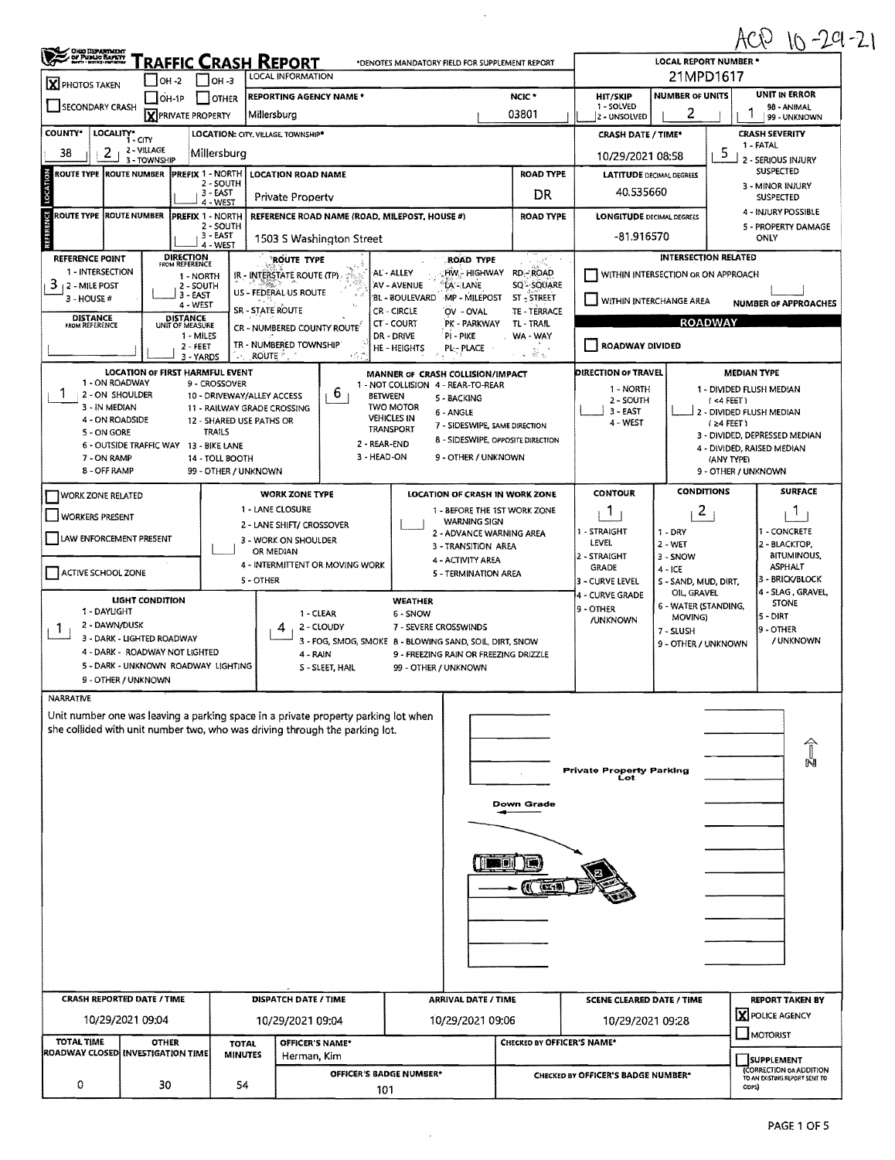## $ACD$  10-29-21

| <u> Fraffic Crash Report</u><br>*DENOTES MANDATORY FIELD FOR SUPPLEMENT REPORT<br>21MPD1617<br>LOCAL INFORMATION<br>$LOH - 2$<br>$1$ low-3<br>X PHOTOS TAKEN<br><b>UNIT IN ERROR</b><br><b>NUMBER OF UNITS</b><br>NCIC <sup>*</sup><br><b>REPORTING AGENCY NAME *</b><br><b>HIT/SKIP</b><br>I JOTHER<br>$OH-1P$<br>SECONDARY CRASH<br>1 - SOLVED<br>98 - ANIMAL<br>2<br>03801<br><b>X</b> PRIVATE PROPERTY<br>Millersburg<br>2 - UNSOLVED<br>99 - UNKNOWN<br>LOCALITY* CITY<br><b>CRASH SEVERITY</b><br>LOCATION: CITY, VILLAGE, TOWNSHIP*<br><b>CRASH DATE / TIME*</b><br>1 - FATAL<br>2 - VILLAGE<br>38<br>2<br>- 5<br>Millersburg<br>10/29/2021 08:58<br>3 - TOWNSHIP<br>2 - SERIOUS INJURY<br><b>SUSPECTED</b><br>ROUTE TYPE ROUTE NUMBER PREFIX 1 - NORTH<br><b>ROAD TYPE</b><br><b>LOCATION ROAD NAME</b><br><b>LATITUDE DECIMAL DEGREES</b><br>2 - SOUTH<br>3 - MINOR INJURY<br>40.535660<br>3 EAST<br>DR<br><b>Private Property</b><br><b>SUSPECTED</b><br>4 - WEST<br>4 - INJURY POSSIBLE<br><b>ROUTE TYPE ROUTE NUMBER</b><br><b>PREFIX 1 - NORTH</b><br>REFERENCE ROAD NAME (ROAD, MILEPOST, HOUSE #)<br><b>ROAD TYPE</b><br><b>LONGITUDE DECIMAL DEGREES</b><br>2 - SOUTH<br>5 - PROPERTY DAMAGE<br>3 - EAST<br>-81.916570<br>ONLY<br>1503 S Washington Street<br>4 - WEST<br><b>DIRECTION</b><br>FROM REFERENCE<br><b>INTERSECTION RELATED</b><br><b>REFERENCE POINT</b><br><b>ROUTE TYPE</b><br>ROAD TYPE<br>1 INTERSECTION<br>HW - Highway<br>RD-ROAD<br>AL - ALLEY<br>WITHIN INTERSECTION OR ON APPROACH<br>IR - INTERSTATE ROUTE (TP)<br>1 - NORTH<br>AV - AVENUE<br>'LA' - LANE<br><b>SQ<sup>L</sup>-SQUARE</b><br>2 - SOUTH<br>US - FEDERAL US ROUTE<br>3 - EAST<br>BL - BOULEVARD MP - MILEPOST<br>ST-STREET<br>3 - HOUSE #<br>WITHIN INTERCHANGE AREA<br><b>NUMBER OF APPROACHES</b><br>4 - WEST<br><b>SR - STATE ROUTE</b><br>CR - CIRCLE<br>OV - OVAL<br>TE - TERRACE<br><b>DISTANCE</b><br>FROM REFERENCE<br><b>DISTANCE</b><br>UNIT OF MEASURE<br><b>ROADWAY</b><br>PK - PARKWAY<br>CT - COURT<br><b>TL-TRAIL</b><br>CR - NUMBERED COUNTY ROUTE<br>DR - DRIVE<br>PI - PIKE<br>1 - MILES<br>WA - WAY<br>TR - NUMBERED TOWNSHIP<br>ROADWAY DIVIDED<br>$2 - FEET$<br>HE-HEIGHTS<br>PL-PLACE<br>$\hat{\mathcal{L}}_{\text{f},k}$<br>ROUTE <sup>*</sup><br>3 - YARDS<br>$\sim$<br><b>LOCATION OF FIRST HARMFUL EVENT</b><br>DIRECTION OF TRAVEL<br><b>MEDIAN TYPE</b><br>MANNER OF CRASH COLLISION/IMPACT<br>1 - ON ROADWAY<br>9 - CROSSOVER<br>1 - NOT COLLISION 4 - REAR-TO-REAR<br>1 - NORTH<br>1 - DIVIDED FLUSH MEDIAN<br>6<br>2 - ON SHOULDER<br>10 - DRIVEWAY/ALLEY ACCESS<br><b>BETWEEN</b><br>5 - BACKING<br>2 - SOUTH<br>(4 FEET)<br>3 - IN MEDIAN<br><b>TWO MOTOR</b><br>11 - RAILWAY GRADE CROSSING<br>$3 - EAST$<br>2 - DIVIDED FLUSH MEDIAN<br>6 - ANGLE<br><b>VEHICLES IN</b><br>4 - ON ROADSIDE<br>12 - SHARED USE PATHS OR<br>4 - WEST<br>$(24$ FEET)<br>7 - SIDESWIPE, SAME DIRECTION<br>TRANSPORT<br><b>TRAILS</b><br>5 - ON GORE<br>3 - DIVIDED, DEPRESSED MEDIAN<br>8 - SIDESWIPE, OPPOSITE DIRECTION<br>2 - REAR-END<br>6 - OUTSIDE TRAFFIC WAY 13 - BIKE LANE<br>4 - DIVIDED, RAISED MEDIAN<br>3 - HEAD-ON<br>9 - OTHER / UNKNOWN<br>7 - ON RAMP<br>14 - TOLL BOOTH<br>(ANY TYPE)<br>8 - OFF RAMP<br>99 - OTHER / UNKNOWN<br>9 - OTHER / UNKNOWN<br><b>SURFACE</b><br><b>CONDITIONS</b><br><b>CONTOUR</b><br><b>WORK ZONE TYPE</b><br>LOCATION OF CRASH IN WORK ZONE<br>WORK ZONE RELATED<br>1 - LANE CLOSURE<br>1 - BEFORE THE 1ST WORK ZONE<br>2<br>Т.<br>1<br>WORKERS PRESENT<br><b>WARNING SIGN</b><br>2 - LANE SHIFT/ CROSSOVER<br>1 - STRAIGHT<br>- CONCRETE<br>$1 - DRY$<br>2 - ADVANCE WARNING AREA<br>LAW ENFORCEMENT PRESENT<br>3 - WORK ON SHOULDER<br>LEVEL<br>$2 - WET$<br>2 - BLACKTOP,<br>3 - TRANSITION AREA<br>OR MEDIAN<br><b>BITUMINOUS,</b><br>2 - STRAIGHT<br>3 - SNOW<br>4 - ACTIVITY AREA<br>4 - INTERMITTENT OR MOVING WORK<br><b>ASPHALT</b><br><b>GRADE</b><br>$4 - ICE$<br>ACTIVE SCHOOL ZONE<br>5 - TERMINATION AREA<br>3 - BRICK/BLOCK<br>5 - OTHER<br>3 - CURVE LEVEL<br>S - SAND, MUD, DIRT,<br>4 - SLAG, GRAVEL,<br>OIL GRAVEL<br>4 - CURVE GRADE<br>LIGHT CONDITION<br><b>WEATHER</b><br><b>STONE</b><br>6 - WATER (STANDING,<br>9 - OTHER<br>1 - DAYLIGHT<br>1 - CLEAR<br>6 - SNOW<br>5 - DIRT<br>MOVING)<br><b>/UNKNOWN</b><br>2 - DAWN/DUSK<br>2 - CLOUDY<br>7 - SEVERE CROSSWINDS<br>19 - OTHER<br>Т.<br>7 - SLUSH<br>3 - DARK - LIGHTED ROADWAY<br>/ UNKNOWN<br>3 - FOG, SMOG, SMOKE 8 - BLOWING SAND, SOIL, DIRT, SNOW<br>9 - OTHER / UNKNOWN<br>4 - DARK - ROADWAY NOT LIGHTED<br>4 - RAIN<br>9 - FREEZING RAIN OR FREEZING DRIZZLE<br>5 - DARK - UNKNOWN ROADWAY LIGHTING<br>S - SLEET, HAIL<br>99 - OTHER / UNKNOWN<br>9 - OTHER / UNKNOWN<br>Unit number one was leaving a parking space in a private property parking lot when<br>she collided with unit number two, who was driving through the parking lot.<br>Private Property Parking<br>Lot<br>Down Grade<br>$\blacksquare$<br>KI (EZ15<br><b>CRASH REPORTED DATE / TIME</b><br><b>DISPATCH DATE / TIME</b><br><b>ARRIVAL DATE / TIME</b><br><b>REPORT TAKEN BY</b><br><b>SCENE CLEARED DATE / TIME</b><br>X POLICE AGENCY<br>10/29/2021 09:04<br>10/29/2021 09:04<br>10/29/2021 09:06<br>10/29/2021 09:28<br>$\Box$ MOTORIST<br><b>TOTAL TIME</b><br><b>OTHER</b><br><b>OFFICER'S NAME*</b><br>CHECKED BY OFFICER'S NAME*<br><b>TOTAL</b><br>ROADWAY CLOSED INVESTIGATION TIME<br><b>MINUTES</b><br>Herman, Kim<br><b>SUPPLEMENT</b><br><b>CORRECTION OR ADDITION</b><br>OFFICER'S BADGE NUMBER*<br>CHECKED BY OFFICER'S BADGE NUMBER*<br>TO AN EXISTING REPORT SENT TO<br>0<br>30<br>54<br>ODPS)<br>101 | ONG DEPARTMENT      |  |  |  |  | <b>LOCAL REPORT NUMBER *</b> | MV<br>$10 - 24$ |
|-------------------------------------------------------------------------------------------------------------------------------------------------------------------------------------------------------------------------------------------------------------------------------------------------------------------------------------------------------------------------------------------------------------------------------------------------------------------------------------------------------------------------------------------------------------------------------------------------------------------------------------------------------------------------------------------------------------------------------------------------------------------------------------------------------------------------------------------------------------------------------------------------------------------------------------------------------------------------------------------------------------------------------------------------------------------------------------------------------------------------------------------------------------------------------------------------------------------------------------------------------------------------------------------------------------------------------------------------------------------------------------------------------------------------------------------------------------------------------------------------------------------------------------------------------------------------------------------------------------------------------------------------------------------------------------------------------------------------------------------------------------------------------------------------------------------------------------------------------------------------------------------------------------------------------------------------------------------------------------------------------------------------------------------------------------------------------------------------------------------------------------------------------------------------------------------------------------------------------------------------------------------------------------------------------------------------------------------------------------------------------------------------------------------------------------------------------------------------------------------------------------------------------------------------------------------------------------------------------------------------------------------------------------------------------------------------------------------------------------------------------------------------------------------------------------------------------------------------------------------------------------------------------------------------------------------------------------------------------------------------------------------------------------------------------------------------------------------------------------------------------------------------------------------------------------------------------------------------------------------------------------------------------------------------------------------------------------------------------------------------------------------------------------------------------------------------------------------------------------------------------------------------------------------------------------------------------------------------------------------------------------------------------------------------------------------------------------------------------------------------------------------------------------------------------------------------------------------------------------------------------------------------------------------------------------------------------------------------------------------------------------------------------------------------------------------------------------------------------------------------------------------------------------------------------------------------------------------------------------------------------------------------------------------------------------------------------------------------------------------------------------------------------------------------------------------------------------------------------------------------------------------------------------------------------------------------------------------------------------------------------------------------------------------------------------------------------------------------------------------------------------------------------------------------------------------------------------------------------------------------------------------------------------------------------------------------------------------------------------------------------------------------------------------------------------------------------------------------------------------------------------------------------------------------------------------------------------------------------------------------------------------------------------------------------------------------------------------------------------------------------------------------------------------------------------------------------------------------------------------------------------------------------------------------------------------------------------------------------------------------------------------------------|---------------------|--|--|--|--|------------------------------|-----------------|
|                                                                                                                                                                                                                                                                                                                                                                                                                                                                                                                                                                                                                                                                                                                                                                                                                                                                                                                                                                                                                                                                                                                                                                                                                                                                                                                                                                                                                                                                                                                                                                                                                                                                                                                                                                                                                                                                                                                                                                                                                                                                                                                                                                                                                                                                                                                                                                                                                                                                                                                                                                                                                                                                                                                                                                                                                                                                                                                                                                                                                                                                                                                                                                                                                                                                                                                                                                                                                                                                                                                                                                                                                                                                                                                                                                                                                                                                                                                                                                                                                                                                                                                                                                                                                                                                                                                                                                                                                                                                                                                                                                                                                                                                                                                                                                                                                                                                                                                                                                                                                                                                                                                                                                                                                                                                                                                                                                                                                                                                                                                                                                                                                                                       |                     |  |  |  |  |                              |                 |
|                                                                                                                                                                                                                                                                                                                                                                                                                                                                                                                                                                                                                                                                                                                                                                                                                                                                                                                                                                                                                                                                                                                                                                                                                                                                                                                                                                                                                                                                                                                                                                                                                                                                                                                                                                                                                                                                                                                                                                                                                                                                                                                                                                                                                                                                                                                                                                                                                                                                                                                                                                                                                                                                                                                                                                                                                                                                                                                                                                                                                                                                                                                                                                                                                                                                                                                                                                                                                                                                                                                                                                                                                                                                                                                                                                                                                                                                                                                                                                                                                                                                                                                                                                                                                                                                                                                                                                                                                                                                                                                                                                                                                                                                                                                                                                                                                                                                                                                                                                                                                                                                                                                                                                                                                                                                                                                                                                                                                                                                                                                                                                                                                                                       |                     |  |  |  |  |                              |                 |
|                                                                                                                                                                                                                                                                                                                                                                                                                                                                                                                                                                                                                                                                                                                                                                                                                                                                                                                                                                                                                                                                                                                                                                                                                                                                                                                                                                                                                                                                                                                                                                                                                                                                                                                                                                                                                                                                                                                                                                                                                                                                                                                                                                                                                                                                                                                                                                                                                                                                                                                                                                                                                                                                                                                                                                                                                                                                                                                                                                                                                                                                                                                                                                                                                                                                                                                                                                                                                                                                                                                                                                                                                                                                                                                                                                                                                                                                                                                                                                                                                                                                                                                                                                                                                                                                                                                                                                                                                                                                                                                                                                                                                                                                                                                                                                                                                                                                                                                                                                                                                                                                                                                                                                                                                                                                                                                                                                                                                                                                                                                                                                                                                                                       |                     |  |  |  |  |                              |                 |
|                                                                                                                                                                                                                                                                                                                                                                                                                                                                                                                                                                                                                                                                                                                                                                                                                                                                                                                                                                                                                                                                                                                                                                                                                                                                                                                                                                                                                                                                                                                                                                                                                                                                                                                                                                                                                                                                                                                                                                                                                                                                                                                                                                                                                                                                                                                                                                                                                                                                                                                                                                                                                                                                                                                                                                                                                                                                                                                                                                                                                                                                                                                                                                                                                                                                                                                                                                                                                                                                                                                                                                                                                                                                                                                                                                                                                                                                                                                                                                                                                                                                                                                                                                                                                                                                                                                                                                                                                                                                                                                                                                                                                                                                                                                                                                                                                                                                                                                                                                                                                                                                                                                                                                                                                                                                                                                                                                                                                                                                                                                                                                                                                                                       | COUNTY*             |  |  |  |  |                              |                 |
|                                                                                                                                                                                                                                                                                                                                                                                                                                                                                                                                                                                                                                                                                                                                                                                                                                                                                                                                                                                                                                                                                                                                                                                                                                                                                                                                                                                                                                                                                                                                                                                                                                                                                                                                                                                                                                                                                                                                                                                                                                                                                                                                                                                                                                                                                                                                                                                                                                                                                                                                                                                                                                                                                                                                                                                                                                                                                                                                                                                                                                                                                                                                                                                                                                                                                                                                                                                                                                                                                                                                                                                                                                                                                                                                                                                                                                                                                                                                                                                                                                                                                                                                                                                                                                                                                                                                                                                                                                                                                                                                                                                                                                                                                                                                                                                                                                                                                                                                                                                                                                                                                                                                                                                                                                                                                                                                                                                                                                                                                                                                                                                                                                                       |                     |  |  |  |  |                              |                 |
|                                                                                                                                                                                                                                                                                                                                                                                                                                                                                                                                                                                                                                                                                                                                                                                                                                                                                                                                                                                                                                                                                                                                                                                                                                                                                                                                                                                                                                                                                                                                                                                                                                                                                                                                                                                                                                                                                                                                                                                                                                                                                                                                                                                                                                                                                                                                                                                                                                                                                                                                                                                                                                                                                                                                                                                                                                                                                                                                                                                                                                                                                                                                                                                                                                                                                                                                                                                                                                                                                                                                                                                                                                                                                                                                                                                                                                                                                                                                                                                                                                                                                                                                                                                                                                                                                                                                                                                                                                                                                                                                                                                                                                                                                                                                                                                                                                                                                                                                                                                                                                                                                                                                                                                                                                                                                                                                                                                                                                                                                                                                                                                                                                                       |                     |  |  |  |  |                              |                 |
|                                                                                                                                                                                                                                                                                                                                                                                                                                                                                                                                                                                                                                                                                                                                                                                                                                                                                                                                                                                                                                                                                                                                                                                                                                                                                                                                                                                                                                                                                                                                                                                                                                                                                                                                                                                                                                                                                                                                                                                                                                                                                                                                                                                                                                                                                                                                                                                                                                                                                                                                                                                                                                                                                                                                                                                                                                                                                                                                                                                                                                                                                                                                                                                                                                                                                                                                                                                                                                                                                                                                                                                                                                                                                                                                                                                                                                                                                                                                                                                                                                                                                                                                                                                                                                                                                                                                                                                                                                                                                                                                                                                                                                                                                                                                                                                                                                                                                                                                                                                                                                                                                                                                                                                                                                                                                                                                                                                                                                                                                                                                                                                                                                                       | LOCATION            |  |  |  |  |                              |                 |
|                                                                                                                                                                                                                                                                                                                                                                                                                                                                                                                                                                                                                                                                                                                                                                                                                                                                                                                                                                                                                                                                                                                                                                                                                                                                                                                                                                                                                                                                                                                                                                                                                                                                                                                                                                                                                                                                                                                                                                                                                                                                                                                                                                                                                                                                                                                                                                                                                                                                                                                                                                                                                                                                                                                                                                                                                                                                                                                                                                                                                                                                                                                                                                                                                                                                                                                                                                                                                                                                                                                                                                                                                                                                                                                                                                                                                                                                                                                                                                                                                                                                                                                                                                                                                                                                                                                                                                                                                                                                                                                                                                                                                                                                                                                                                                                                                                                                                                                                                                                                                                                                                                                                                                                                                                                                                                                                                                                                                                                                                                                                                                                                                                                       |                     |  |  |  |  |                              |                 |
|                                                                                                                                                                                                                                                                                                                                                                                                                                                                                                                                                                                                                                                                                                                                                                                                                                                                                                                                                                                                                                                                                                                                                                                                                                                                                                                                                                                                                                                                                                                                                                                                                                                                                                                                                                                                                                                                                                                                                                                                                                                                                                                                                                                                                                                                                                                                                                                                                                                                                                                                                                                                                                                                                                                                                                                                                                                                                                                                                                                                                                                                                                                                                                                                                                                                                                                                                                                                                                                                                                                                                                                                                                                                                                                                                                                                                                                                                                                                                                                                                                                                                                                                                                                                                                                                                                                                                                                                                                                                                                                                                                                                                                                                                                                                                                                                                                                                                                                                                                                                                                                                                                                                                                                                                                                                                                                                                                                                                                                                                                                                                                                                                                                       | <b>REFERENCE</b>    |  |  |  |  |                              |                 |
|                                                                                                                                                                                                                                                                                                                                                                                                                                                                                                                                                                                                                                                                                                                                                                                                                                                                                                                                                                                                                                                                                                                                                                                                                                                                                                                                                                                                                                                                                                                                                                                                                                                                                                                                                                                                                                                                                                                                                                                                                                                                                                                                                                                                                                                                                                                                                                                                                                                                                                                                                                                                                                                                                                                                                                                                                                                                                                                                                                                                                                                                                                                                                                                                                                                                                                                                                                                                                                                                                                                                                                                                                                                                                                                                                                                                                                                                                                                                                                                                                                                                                                                                                                                                                                                                                                                                                                                                                                                                                                                                                                                                                                                                                                                                                                                                                                                                                                                                                                                                                                                                                                                                                                                                                                                                                                                                                                                                                                                                                                                                                                                                                                                       |                     |  |  |  |  |                              |                 |
|                                                                                                                                                                                                                                                                                                                                                                                                                                                                                                                                                                                                                                                                                                                                                                                                                                                                                                                                                                                                                                                                                                                                                                                                                                                                                                                                                                                                                                                                                                                                                                                                                                                                                                                                                                                                                                                                                                                                                                                                                                                                                                                                                                                                                                                                                                                                                                                                                                                                                                                                                                                                                                                                                                                                                                                                                                                                                                                                                                                                                                                                                                                                                                                                                                                                                                                                                                                                                                                                                                                                                                                                                                                                                                                                                                                                                                                                                                                                                                                                                                                                                                                                                                                                                                                                                                                                                                                                                                                                                                                                                                                                                                                                                                                                                                                                                                                                                                                                                                                                                                                                                                                                                                                                                                                                                                                                                                                                                                                                                                                                                                                                                                                       |                     |  |  |  |  |                              |                 |
|                                                                                                                                                                                                                                                                                                                                                                                                                                                                                                                                                                                                                                                                                                                                                                                                                                                                                                                                                                                                                                                                                                                                                                                                                                                                                                                                                                                                                                                                                                                                                                                                                                                                                                                                                                                                                                                                                                                                                                                                                                                                                                                                                                                                                                                                                                                                                                                                                                                                                                                                                                                                                                                                                                                                                                                                                                                                                                                                                                                                                                                                                                                                                                                                                                                                                                                                                                                                                                                                                                                                                                                                                                                                                                                                                                                                                                                                                                                                                                                                                                                                                                                                                                                                                                                                                                                                                                                                                                                                                                                                                                                                                                                                                                                                                                                                                                                                                                                                                                                                                                                                                                                                                                                                                                                                                                                                                                                                                                                                                                                                                                                                                                                       | $3 + 2 -$ MILE POST |  |  |  |  |                              |                 |
|                                                                                                                                                                                                                                                                                                                                                                                                                                                                                                                                                                                                                                                                                                                                                                                                                                                                                                                                                                                                                                                                                                                                                                                                                                                                                                                                                                                                                                                                                                                                                                                                                                                                                                                                                                                                                                                                                                                                                                                                                                                                                                                                                                                                                                                                                                                                                                                                                                                                                                                                                                                                                                                                                                                                                                                                                                                                                                                                                                                                                                                                                                                                                                                                                                                                                                                                                                                                                                                                                                                                                                                                                                                                                                                                                                                                                                                                                                                                                                                                                                                                                                                                                                                                                                                                                                                                                                                                                                                                                                                                                                                                                                                                                                                                                                                                                                                                                                                                                                                                                                                                                                                                                                                                                                                                                                                                                                                                                                                                                                                                                                                                                                                       |                     |  |  |  |  |                              |                 |
|                                                                                                                                                                                                                                                                                                                                                                                                                                                                                                                                                                                                                                                                                                                                                                                                                                                                                                                                                                                                                                                                                                                                                                                                                                                                                                                                                                                                                                                                                                                                                                                                                                                                                                                                                                                                                                                                                                                                                                                                                                                                                                                                                                                                                                                                                                                                                                                                                                                                                                                                                                                                                                                                                                                                                                                                                                                                                                                                                                                                                                                                                                                                                                                                                                                                                                                                                                                                                                                                                                                                                                                                                                                                                                                                                                                                                                                                                                                                                                                                                                                                                                                                                                                                                                                                                                                                                                                                                                                                                                                                                                                                                                                                                                                                                                                                                                                                                                                                                                                                                                                                                                                                                                                                                                                                                                                                                                                                                                                                                                                                                                                                                                                       |                     |  |  |  |  |                              |                 |
|                                                                                                                                                                                                                                                                                                                                                                                                                                                                                                                                                                                                                                                                                                                                                                                                                                                                                                                                                                                                                                                                                                                                                                                                                                                                                                                                                                                                                                                                                                                                                                                                                                                                                                                                                                                                                                                                                                                                                                                                                                                                                                                                                                                                                                                                                                                                                                                                                                                                                                                                                                                                                                                                                                                                                                                                                                                                                                                                                                                                                                                                                                                                                                                                                                                                                                                                                                                                                                                                                                                                                                                                                                                                                                                                                                                                                                                                                                                                                                                                                                                                                                                                                                                                                                                                                                                                                                                                                                                                                                                                                                                                                                                                                                                                                                                                                                                                                                                                                                                                                                                                                                                                                                                                                                                                                                                                                                                                                                                                                                                                                                                                                                                       |                     |  |  |  |  |                              |                 |
|                                                                                                                                                                                                                                                                                                                                                                                                                                                                                                                                                                                                                                                                                                                                                                                                                                                                                                                                                                                                                                                                                                                                                                                                                                                                                                                                                                                                                                                                                                                                                                                                                                                                                                                                                                                                                                                                                                                                                                                                                                                                                                                                                                                                                                                                                                                                                                                                                                                                                                                                                                                                                                                                                                                                                                                                                                                                                                                                                                                                                                                                                                                                                                                                                                                                                                                                                                                                                                                                                                                                                                                                                                                                                                                                                                                                                                                                                                                                                                                                                                                                                                                                                                                                                                                                                                                                                                                                                                                                                                                                                                                                                                                                                                                                                                                                                                                                                                                                                                                                                                                                                                                                                                                                                                                                                                                                                                                                                                                                                                                                                                                                                                                       |                     |  |  |  |  |                              |                 |
|                                                                                                                                                                                                                                                                                                                                                                                                                                                                                                                                                                                                                                                                                                                                                                                                                                                                                                                                                                                                                                                                                                                                                                                                                                                                                                                                                                                                                                                                                                                                                                                                                                                                                                                                                                                                                                                                                                                                                                                                                                                                                                                                                                                                                                                                                                                                                                                                                                                                                                                                                                                                                                                                                                                                                                                                                                                                                                                                                                                                                                                                                                                                                                                                                                                                                                                                                                                                                                                                                                                                                                                                                                                                                                                                                                                                                                                                                                                                                                                                                                                                                                                                                                                                                                                                                                                                                                                                                                                                                                                                                                                                                                                                                                                                                                                                                                                                                                                                                                                                                                                                                                                                                                                                                                                                                                                                                                                                                                                                                                                                                                                                                                                       |                     |  |  |  |  |                              |                 |
|                                                                                                                                                                                                                                                                                                                                                                                                                                                                                                                                                                                                                                                                                                                                                                                                                                                                                                                                                                                                                                                                                                                                                                                                                                                                                                                                                                                                                                                                                                                                                                                                                                                                                                                                                                                                                                                                                                                                                                                                                                                                                                                                                                                                                                                                                                                                                                                                                                                                                                                                                                                                                                                                                                                                                                                                                                                                                                                                                                                                                                                                                                                                                                                                                                                                                                                                                                                                                                                                                                                                                                                                                                                                                                                                                                                                                                                                                                                                                                                                                                                                                                                                                                                                                                                                                                                                                                                                                                                                                                                                                                                                                                                                                                                                                                                                                                                                                                                                                                                                                                                                                                                                                                                                                                                                                                                                                                                                                                                                                                                                                                                                                                                       |                     |  |  |  |  |                              |                 |
|                                                                                                                                                                                                                                                                                                                                                                                                                                                                                                                                                                                                                                                                                                                                                                                                                                                                                                                                                                                                                                                                                                                                                                                                                                                                                                                                                                                                                                                                                                                                                                                                                                                                                                                                                                                                                                                                                                                                                                                                                                                                                                                                                                                                                                                                                                                                                                                                                                                                                                                                                                                                                                                                                                                                                                                                                                                                                                                                                                                                                                                                                                                                                                                                                                                                                                                                                                                                                                                                                                                                                                                                                                                                                                                                                                                                                                                                                                                                                                                                                                                                                                                                                                                                                                                                                                                                                                                                                                                                                                                                                                                                                                                                                                                                                                                                                                                                                                                                                                                                                                                                                                                                                                                                                                                                                                                                                                                                                                                                                                                                                                                                                                                       |                     |  |  |  |  |                              |                 |
|                                                                                                                                                                                                                                                                                                                                                                                                                                                                                                                                                                                                                                                                                                                                                                                                                                                                                                                                                                                                                                                                                                                                                                                                                                                                                                                                                                                                                                                                                                                                                                                                                                                                                                                                                                                                                                                                                                                                                                                                                                                                                                                                                                                                                                                                                                                                                                                                                                                                                                                                                                                                                                                                                                                                                                                                                                                                                                                                                                                                                                                                                                                                                                                                                                                                                                                                                                                                                                                                                                                                                                                                                                                                                                                                                                                                                                                                                                                                                                                                                                                                                                                                                                                                                                                                                                                                                                                                                                                                                                                                                                                                                                                                                                                                                                                                                                                                                                                                                                                                                                                                                                                                                                                                                                                                                                                                                                                                                                                                                                                                                                                                                                                       |                     |  |  |  |  |                              |                 |
|                                                                                                                                                                                                                                                                                                                                                                                                                                                                                                                                                                                                                                                                                                                                                                                                                                                                                                                                                                                                                                                                                                                                                                                                                                                                                                                                                                                                                                                                                                                                                                                                                                                                                                                                                                                                                                                                                                                                                                                                                                                                                                                                                                                                                                                                                                                                                                                                                                                                                                                                                                                                                                                                                                                                                                                                                                                                                                                                                                                                                                                                                                                                                                                                                                                                                                                                                                                                                                                                                                                                                                                                                                                                                                                                                                                                                                                                                                                                                                                                                                                                                                                                                                                                                                                                                                                                                                                                                                                                                                                                                                                                                                                                                                                                                                                                                                                                                                                                                                                                                                                                                                                                                                                                                                                                                                                                                                                                                                                                                                                                                                                                                                                       |                     |  |  |  |  |                              |                 |
|                                                                                                                                                                                                                                                                                                                                                                                                                                                                                                                                                                                                                                                                                                                                                                                                                                                                                                                                                                                                                                                                                                                                                                                                                                                                                                                                                                                                                                                                                                                                                                                                                                                                                                                                                                                                                                                                                                                                                                                                                                                                                                                                                                                                                                                                                                                                                                                                                                                                                                                                                                                                                                                                                                                                                                                                                                                                                                                                                                                                                                                                                                                                                                                                                                                                                                                                                                                                                                                                                                                                                                                                                                                                                                                                                                                                                                                                                                                                                                                                                                                                                                                                                                                                                                                                                                                                                                                                                                                                                                                                                                                                                                                                                                                                                                                                                                                                                                                                                                                                                                                                                                                                                                                                                                                                                                                                                                                                                                                                                                                                                                                                                                                       |                     |  |  |  |  |                              |                 |
|                                                                                                                                                                                                                                                                                                                                                                                                                                                                                                                                                                                                                                                                                                                                                                                                                                                                                                                                                                                                                                                                                                                                                                                                                                                                                                                                                                                                                                                                                                                                                                                                                                                                                                                                                                                                                                                                                                                                                                                                                                                                                                                                                                                                                                                                                                                                                                                                                                                                                                                                                                                                                                                                                                                                                                                                                                                                                                                                                                                                                                                                                                                                                                                                                                                                                                                                                                                                                                                                                                                                                                                                                                                                                                                                                                                                                                                                                                                                                                                                                                                                                                                                                                                                                                                                                                                                                                                                                                                                                                                                                                                                                                                                                                                                                                                                                                                                                                                                                                                                                                                                                                                                                                                                                                                                                                                                                                                                                                                                                                                                                                                                                                                       |                     |  |  |  |  |                              |                 |
|                                                                                                                                                                                                                                                                                                                                                                                                                                                                                                                                                                                                                                                                                                                                                                                                                                                                                                                                                                                                                                                                                                                                                                                                                                                                                                                                                                                                                                                                                                                                                                                                                                                                                                                                                                                                                                                                                                                                                                                                                                                                                                                                                                                                                                                                                                                                                                                                                                                                                                                                                                                                                                                                                                                                                                                                                                                                                                                                                                                                                                                                                                                                                                                                                                                                                                                                                                                                                                                                                                                                                                                                                                                                                                                                                                                                                                                                                                                                                                                                                                                                                                                                                                                                                                                                                                                                                                                                                                                                                                                                                                                                                                                                                                                                                                                                                                                                                                                                                                                                                                                                                                                                                                                                                                                                                                                                                                                                                                                                                                                                                                                                                                                       |                     |  |  |  |  |                              |                 |
|                                                                                                                                                                                                                                                                                                                                                                                                                                                                                                                                                                                                                                                                                                                                                                                                                                                                                                                                                                                                                                                                                                                                                                                                                                                                                                                                                                                                                                                                                                                                                                                                                                                                                                                                                                                                                                                                                                                                                                                                                                                                                                                                                                                                                                                                                                                                                                                                                                                                                                                                                                                                                                                                                                                                                                                                                                                                                                                                                                                                                                                                                                                                                                                                                                                                                                                                                                                                                                                                                                                                                                                                                                                                                                                                                                                                                                                                                                                                                                                                                                                                                                                                                                                                                                                                                                                                                                                                                                                                                                                                                                                                                                                                                                                                                                                                                                                                                                                                                                                                                                                                                                                                                                                                                                                                                                                                                                                                                                                                                                                                                                                                                                                       |                     |  |  |  |  |                              |                 |
|                                                                                                                                                                                                                                                                                                                                                                                                                                                                                                                                                                                                                                                                                                                                                                                                                                                                                                                                                                                                                                                                                                                                                                                                                                                                                                                                                                                                                                                                                                                                                                                                                                                                                                                                                                                                                                                                                                                                                                                                                                                                                                                                                                                                                                                                                                                                                                                                                                                                                                                                                                                                                                                                                                                                                                                                                                                                                                                                                                                                                                                                                                                                                                                                                                                                                                                                                                                                                                                                                                                                                                                                                                                                                                                                                                                                                                                                                                                                                                                                                                                                                                                                                                                                                                                                                                                                                                                                                                                                                                                                                                                                                                                                                                                                                                                                                                                                                                                                                                                                                                                                                                                                                                                                                                                                                                                                                                                                                                                                                                                                                                                                                                                       |                     |  |  |  |  |                              |                 |
|                                                                                                                                                                                                                                                                                                                                                                                                                                                                                                                                                                                                                                                                                                                                                                                                                                                                                                                                                                                                                                                                                                                                                                                                                                                                                                                                                                                                                                                                                                                                                                                                                                                                                                                                                                                                                                                                                                                                                                                                                                                                                                                                                                                                                                                                                                                                                                                                                                                                                                                                                                                                                                                                                                                                                                                                                                                                                                                                                                                                                                                                                                                                                                                                                                                                                                                                                                                                                                                                                                                                                                                                                                                                                                                                                                                                                                                                                                                                                                                                                                                                                                                                                                                                                                                                                                                                                                                                                                                                                                                                                                                                                                                                                                                                                                                                                                                                                                                                                                                                                                                                                                                                                                                                                                                                                                                                                                                                                                                                                                                                                                                                                                                       |                     |  |  |  |  |                              |                 |
|                                                                                                                                                                                                                                                                                                                                                                                                                                                                                                                                                                                                                                                                                                                                                                                                                                                                                                                                                                                                                                                                                                                                                                                                                                                                                                                                                                                                                                                                                                                                                                                                                                                                                                                                                                                                                                                                                                                                                                                                                                                                                                                                                                                                                                                                                                                                                                                                                                                                                                                                                                                                                                                                                                                                                                                                                                                                                                                                                                                                                                                                                                                                                                                                                                                                                                                                                                                                                                                                                                                                                                                                                                                                                                                                                                                                                                                                                                                                                                                                                                                                                                                                                                                                                                                                                                                                                                                                                                                                                                                                                                                                                                                                                                                                                                                                                                                                                                                                                                                                                                                                                                                                                                                                                                                                                                                                                                                                                                                                                                                                                                                                                                                       |                     |  |  |  |  |                              |                 |
|                                                                                                                                                                                                                                                                                                                                                                                                                                                                                                                                                                                                                                                                                                                                                                                                                                                                                                                                                                                                                                                                                                                                                                                                                                                                                                                                                                                                                                                                                                                                                                                                                                                                                                                                                                                                                                                                                                                                                                                                                                                                                                                                                                                                                                                                                                                                                                                                                                                                                                                                                                                                                                                                                                                                                                                                                                                                                                                                                                                                                                                                                                                                                                                                                                                                                                                                                                                                                                                                                                                                                                                                                                                                                                                                                                                                                                                                                                                                                                                                                                                                                                                                                                                                                                                                                                                                                                                                                                                                                                                                                                                                                                                                                                                                                                                                                                                                                                                                                                                                                                                                                                                                                                                                                                                                                                                                                                                                                                                                                                                                                                                                                                                       |                     |  |  |  |  |                              |                 |
|                                                                                                                                                                                                                                                                                                                                                                                                                                                                                                                                                                                                                                                                                                                                                                                                                                                                                                                                                                                                                                                                                                                                                                                                                                                                                                                                                                                                                                                                                                                                                                                                                                                                                                                                                                                                                                                                                                                                                                                                                                                                                                                                                                                                                                                                                                                                                                                                                                                                                                                                                                                                                                                                                                                                                                                                                                                                                                                                                                                                                                                                                                                                                                                                                                                                                                                                                                                                                                                                                                                                                                                                                                                                                                                                                                                                                                                                                                                                                                                                                                                                                                                                                                                                                                                                                                                                                                                                                                                                                                                                                                                                                                                                                                                                                                                                                                                                                                                                                                                                                                                                                                                                                                                                                                                                                                                                                                                                                                                                                                                                                                                                                                                       |                     |  |  |  |  |                              |                 |
|                                                                                                                                                                                                                                                                                                                                                                                                                                                                                                                                                                                                                                                                                                                                                                                                                                                                                                                                                                                                                                                                                                                                                                                                                                                                                                                                                                                                                                                                                                                                                                                                                                                                                                                                                                                                                                                                                                                                                                                                                                                                                                                                                                                                                                                                                                                                                                                                                                                                                                                                                                                                                                                                                                                                                                                                                                                                                                                                                                                                                                                                                                                                                                                                                                                                                                                                                                                                                                                                                                                                                                                                                                                                                                                                                                                                                                                                                                                                                                                                                                                                                                                                                                                                                                                                                                                                                                                                                                                                                                                                                                                                                                                                                                                                                                                                                                                                                                                                                                                                                                                                                                                                                                                                                                                                                                                                                                                                                                                                                                                                                                                                                                                       |                     |  |  |  |  |                              |                 |
|                                                                                                                                                                                                                                                                                                                                                                                                                                                                                                                                                                                                                                                                                                                                                                                                                                                                                                                                                                                                                                                                                                                                                                                                                                                                                                                                                                                                                                                                                                                                                                                                                                                                                                                                                                                                                                                                                                                                                                                                                                                                                                                                                                                                                                                                                                                                                                                                                                                                                                                                                                                                                                                                                                                                                                                                                                                                                                                                                                                                                                                                                                                                                                                                                                                                                                                                                                                                                                                                                                                                                                                                                                                                                                                                                                                                                                                                                                                                                                                                                                                                                                                                                                                                                                                                                                                                                                                                                                                                                                                                                                                                                                                                                                                                                                                                                                                                                                                                                                                                                                                                                                                                                                                                                                                                                                                                                                                                                                                                                                                                                                                                                                                       |                     |  |  |  |  |                              |                 |
|                                                                                                                                                                                                                                                                                                                                                                                                                                                                                                                                                                                                                                                                                                                                                                                                                                                                                                                                                                                                                                                                                                                                                                                                                                                                                                                                                                                                                                                                                                                                                                                                                                                                                                                                                                                                                                                                                                                                                                                                                                                                                                                                                                                                                                                                                                                                                                                                                                                                                                                                                                                                                                                                                                                                                                                                                                                                                                                                                                                                                                                                                                                                                                                                                                                                                                                                                                                                                                                                                                                                                                                                                                                                                                                                                                                                                                                                                                                                                                                                                                                                                                                                                                                                                                                                                                                                                                                                                                                                                                                                                                                                                                                                                                                                                                                                                                                                                                                                                                                                                                                                                                                                                                                                                                                                                                                                                                                                                                                                                                                                                                                                                                                       |                     |  |  |  |  |                              |                 |
|                                                                                                                                                                                                                                                                                                                                                                                                                                                                                                                                                                                                                                                                                                                                                                                                                                                                                                                                                                                                                                                                                                                                                                                                                                                                                                                                                                                                                                                                                                                                                                                                                                                                                                                                                                                                                                                                                                                                                                                                                                                                                                                                                                                                                                                                                                                                                                                                                                                                                                                                                                                                                                                                                                                                                                                                                                                                                                                                                                                                                                                                                                                                                                                                                                                                                                                                                                                                                                                                                                                                                                                                                                                                                                                                                                                                                                                                                                                                                                                                                                                                                                                                                                                                                                                                                                                                                                                                                                                                                                                                                                                                                                                                                                                                                                                                                                                                                                                                                                                                                                                                                                                                                                                                                                                                                                                                                                                                                                                                                                                                                                                                                                                       | <b>NARRATIVE</b>    |  |  |  |  |                              |                 |
|                                                                                                                                                                                                                                                                                                                                                                                                                                                                                                                                                                                                                                                                                                                                                                                                                                                                                                                                                                                                                                                                                                                                                                                                                                                                                                                                                                                                                                                                                                                                                                                                                                                                                                                                                                                                                                                                                                                                                                                                                                                                                                                                                                                                                                                                                                                                                                                                                                                                                                                                                                                                                                                                                                                                                                                                                                                                                                                                                                                                                                                                                                                                                                                                                                                                                                                                                                                                                                                                                                                                                                                                                                                                                                                                                                                                                                                                                                                                                                                                                                                                                                                                                                                                                                                                                                                                                                                                                                                                                                                                                                                                                                                                                                                                                                                                                                                                                                                                                                                                                                                                                                                                                                                                                                                                                                                                                                                                                                                                                                                                                                                                                                                       |                     |  |  |  |  |                              |                 |
|                                                                                                                                                                                                                                                                                                                                                                                                                                                                                                                                                                                                                                                                                                                                                                                                                                                                                                                                                                                                                                                                                                                                                                                                                                                                                                                                                                                                                                                                                                                                                                                                                                                                                                                                                                                                                                                                                                                                                                                                                                                                                                                                                                                                                                                                                                                                                                                                                                                                                                                                                                                                                                                                                                                                                                                                                                                                                                                                                                                                                                                                                                                                                                                                                                                                                                                                                                                                                                                                                                                                                                                                                                                                                                                                                                                                                                                                                                                                                                                                                                                                                                                                                                                                                                                                                                                                                                                                                                                                                                                                                                                                                                                                                                                                                                                                                                                                                                                                                                                                                                                                                                                                                                                                                                                                                                                                                                                                                                                                                                                                                                                                                                                       |                     |  |  |  |  |                              |                 |
|                                                                                                                                                                                                                                                                                                                                                                                                                                                                                                                                                                                                                                                                                                                                                                                                                                                                                                                                                                                                                                                                                                                                                                                                                                                                                                                                                                                                                                                                                                                                                                                                                                                                                                                                                                                                                                                                                                                                                                                                                                                                                                                                                                                                                                                                                                                                                                                                                                                                                                                                                                                                                                                                                                                                                                                                                                                                                                                                                                                                                                                                                                                                                                                                                                                                                                                                                                                                                                                                                                                                                                                                                                                                                                                                                                                                                                                                                                                                                                                                                                                                                                                                                                                                                                                                                                                                                                                                                                                                                                                                                                                                                                                                                                                                                                                                                                                                                                                                                                                                                                                                                                                                                                                                                                                                                                                                                                                                                                                                                                                                                                                                                                                       |                     |  |  |  |  |                              |                 |
|                                                                                                                                                                                                                                                                                                                                                                                                                                                                                                                                                                                                                                                                                                                                                                                                                                                                                                                                                                                                                                                                                                                                                                                                                                                                                                                                                                                                                                                                                                                                                                                                                                                                                                                                                                                                                                                                                                                                                                                                                                                                                                                                                                                                                                                                                                                                                                                                                                                                                                                                                                                                                                                                                                                                                                                                                                                                                                                                                                                                                                                                                                                                                                                                                                                                                                                                                                                                                                                                                                                                                                                                                                                                                                                                                                                                                                                                                                                                                                                                                                                                                                                                                                                                                                                                                                                                                                                                                                                                                                                                                                                                                                                                                                                                                                                                                                                                                                                                                                                                                                                                                                                                                                                                                                                                                                                                                                                                                                                                                                                                                                                                                                                       |                     |  |  |  |  |                              |                 |
|                                                                                                                                                                                                                                                                                                                                                                                                                                                                                                                                                                                                                                                                                                                                                                                                                                                                                                                                                                                                                                                                                                                                                                                                                                                                                                                                                                                                                                                                                                                                                                                                                                                                                                                                                                                                                                                                                                                                                                                                                                                                                                                                                                                                                                                                                                                                                                                                                                                                                                                                                                                                                                                                                                                                                                                                                                                                                                                                                                                                                                                                                                                                                                                                                                                                                                                                                                                                                                                                                                                                                                                                                                                                                                                                                                                                                                                                                                                                                                                                                                                                                                                                                                                                                                                                                                                                                                                                                                                                                                                                                                                                                                                                                                                                                                                                                                                                                                                                                                                                                                                                                                                                                                                                                                                                                                                                                                                                                                                                                                                                                                                                                                                       |                     |  |  |  |  |                              |                 |
|                                                                                                                                                                                                                                                                                                                                                                                                                                                                                                                                                                                                                                                                                                                                                                                                                                                                                                                                                                                                                                                                                                                                                                                                                                                                                                                                                                                                                                                                                                                                                                                                                                                                                                                                                                                                                                                                                                                                                                                                                                                                                                                                                                                                                                                                                                                                                                                                                                                                                                                                                                                                                                                                                                                                                                                                                                                                                                                                                                                                                                                                                                                                                                                                                                                                                                                                                                                                                                                                                                                                                                                                                                                                                                                                                                                                                                                                                                                                                                                                                                                                                                                                                                                                                                                                                                                                                                                                                                                                                                                                                                                                                                                                                                                                                                                                                                                                                                                                                                                                                                                                                                                                                                                                                                                                                                                                                                                                                                                                                                                                                                                                                                                       |                     |  |  |  |  |                              |                 |
|                                                                                                                                                                                                                                                                                                                                                                                                                                                                                                                                                                                                                                                                                                                                                                                                                                                                                                                                                                                                                                                                                                                                                                                                                                                                                                                                                                                                                                                                                                                                                                                                                                                                                                                                                                                                                                                                                                                                                                                                                                                                                                                                                                                                                                                                                                                                                                                                                                                                                                                                                                                                                                                                                                                                                                                                                                                                                                                                                                                                                                                                                                                                                                                                                                                                                                                                                                                                                                                                                                                                                                                                                                                                                                                                                                                                                                                                                                                                                                                                                                                                                                                                                                                                                                                                                                                                                                                                                                                                                                                                                                                                                                                                                                                                                                                                                                                                                                                                                                                                                                                                                                                                                                                                                                                                                                                                                                                                                                                                                                                                                                                                                                                       |                     |  |  |  |  |                              |                 |
|                                                                                                                                                                                                                                                                                                                                                                                                                                                                                                                                                                                                                                                                                                                                                                                                                                                                                                                                                                                                                                                                                                                                                                                                                                                                                                                                                                                                                                                                                                                                                                                                                                                                                                                                                                                                                                                                                                                                                                                                                                                                                                                                                                                                                                                                                                                                                                                                                                                                                                                                                                                                                                                                                                                                                                                                                                                                                                                                                                                                                                                                                                                                                                                                                                                                                                                                                                                                                                                                                                                                                                                                                                                                                                                                                                                                                                                                                                                                                                                                                                                                                                                                                                                                                                                                                                                                                                                                                                                                                                                                                                                                                                                                                                                                                                                                                                                                                                                                                                                                                                                                                                                                                                                                                                                                                                                                                                                                                                                                                                                                                                                                                                                       |                     |  |  |  |  |                              |                 |
|                                                                                                                                                                                                                                                                                                                                                                                                                                                                                                                                                                                                                                                                                                                                                                                                                                                                                                                                                                                                                                                                                                                                                                                                                                                                                                                                                                                                                                                                                                                                                                                                                                                                                                                                                                                                                                                                                                                                                                                                                                                                                                                                                                                                                                                                                                                                                                                                                                                                                                                                                                                                                                                                                                                                                                                                                                                                                                                                                                                                                                                                                                                                                                                                                                                                                                                                                                                                                                                                                                                                                                                                                                                                                                                                                                                                                                                                                                                                                                                                                                                                                                                                                                                                                                                                                                                                                                                                                                                                                                                                                                                                                                                                                                                                                                                                                                                                                                                                                                                                                                                                                                                                                                                                                                                                                                                                                                                                                                                                                                                                                                                                                                                       |                     |  |  |  |  |                              |                 |
|                                                                                                                                                                                                                                                                                                                                                                                                                                                                                                                                                                                                                                                                                                                                                                                                                                                                                                                                                                                                                                                                                                                                                                                                                                                                                                                                                                                                                                                                                                                                                                                                                                                                                                                                                                                                                                                                                                                                                                                                                                                                                                                                                                                                                                                                                                                                                                                                                                                                                                                                                                                                                                                                                                                                                                                                                                                                                                                                                                                                                                                                                                                                                                                                                                                                                                                                                                                                                                                                                                                                                                                                                                                                                                                                                                                                                                                                                                                                                                                                                                                                                                                                                                                                                                                                                                                                                                                                                                                                                                                                                                                                                                                                                                                                                                                                                                                                                                                                                                                                                                                                                                                                                                                                                                                                                                                                                                                                                                                                                                                                                                                                                                                       |                     |  |  |  |  |                              |                 |
|                                                                                                                                                                                                                                                                                                                                                                                                                                                                                                                                                                                                                                                                                                                                                                                                                                                                                                                                                                                                                                                                                                                                                                                                                                                                                                                                                                                                                                                                                                                                                                                                                                                                                                                                                                                                                                                                                                                                                                                                                                                                                                                                                                                                                                                                                                                                                                                                                                                                                                                                                                                                                                                                                                                                                                                                                                                                                                                                                                                                                                                                                                                                                                                                                                                                                                                                                                                                                                                                                                                                                                                                                                                                                                                                                                                                                                                                                                                                                                                                                                                                                                                                                                                                                                                                                                                                                                                                                                                                                                                                                                                                                                                                                                                                                                                                                                                                                                                                                                                                                                                                                                                                                                                                                                                                                                                                                                                                                                                                                                                                                                                                                                                       |                     |  |  |  |  |                              |                 |
|                                                                                                                                                                                                                                                                                                                                                                                                                                                                                                                                                                                                                                                                                                                                                                                                                                                                                                                                                                                                                                                                                                                                                                                                                                                                                                                                                                                                                                                                                                                                                                                                                                                                                                                                                                                                                                                                                                                                                                                                                                                                                                                                                                                                                                                                                                                                                                                                                                                                                                                                                                                                                                                                                                                                                                                                                                                                                                                                                                                                                                                                                                                                                                                                                                                                                                                                                                                                                                                                                                                                                                                                                                                                                                                                                                                                                                                                                                                                                                                                                                                                                                                                                                                                                                                                                                                                                                                                                                                                                                                                                                                                                                                                                                                                                                                                                                                                                                                                                                                                                                                                                                                                                                                                                                                                                                                                                                                                                                                                                                                                                                                                                                                       |                     |  |  |  |  |                              |                 |
|                                                                                                                                                                                                                                                                                                                                                                                                                                                                                                                                                                                                                                                                                                                                                                                                                                                                                                                                                                                                                                                                                                                                                                                                                                                                                                                                                                                                                                                                                                                                                                                                                                                                                                                                                                                                                                                                                                                                                                                                                                                                                                                                                                                                                                                                                                                                                                                                                                                                                                                                                                                                                                                                                                                                                                                                                                                                                                                                                                                                                                                                                                                                                                                                                                                                                                                                                                                                                                                                                                                                                                                                                                                                                                                                                                                                                                                                                                                                                                                                                                                                                                                                                                                                                                                                                                                                                                                                                                                                                                                                                                                                                                                                                                                                                                                                                                                                                                                                                                                                                                                                                                                                                                                                                                                                                                                                                                                                                                                                                                                                                                                                                                                       |                     |  |  |  |  |                              |                 |
|                                                                                                                                                                                                                                                                                                                                                                                                                                                                                                                                                                                                                                                                                                                                                                                                                                                                                                                                                                                                                                                                                                                                                                                                                                                                                                                                                                                                                                                                                                                                                                                                                                                                                                                                                                                                                                                                                                                                                                                                                                                                                                                                                                                                                                                                                                                                                                                                                                                                                                                                                                                                                                                                                                                                                                                                                                                                                                                                                                                                                                                                                                                                                                                                                                                                                                                                                                                                                                                                                                                                                                                                                                                                                                                                                                                                                                                                                                                                                                                                                                                                                                                                                                                                                                                                                                                                                                                                                                                                                                                                                                                                                                                                                                                                                                                                                                                                                                                                                                                                                                                                                                                                                                                                                                                                                                                                                                                                                                                                                                                                                                                                                                                       |                     |  |  |  |  |                              |                 |
|                                                                                                                                                                                                                                                                                                                                                                                                                                                                                                                                                                                                                                                                                                                                                                                                                                                                                                                                                                                                                                                                                                                                                                                                                                                                                                                                                                                                                                                                                                                                                                                                                                                                                                                                                                                                                                                                                                                                                                                                                                                                                                                                                                                                                                                                                                                                                                                                                                                                                                                                                                                                                                                                                                                                                                                                                                                                                                                                                                                                                                                                                                                                                                                                                                                                                                                                                                                                                                                                                                                                                                                                                                                                                                                                                                                                                                                                                                                                                                                                                                                                                                                                                                                                                                                                                                                                                                                                                                                                                                                                                                                                                                                                                                                                                                                                                                                                                                                                                                                                                                                                                                                                                                                                                                                                                                                                                                                                                                                                                                                                                                                                                                                       |                     |  |  |  |  |                              |                 |
|                                                                                                                                                                                                                                                                                                                                                                                                                                                                                                                                                                                                                                                                                                                                                                                                                                                                                                                                                                                                                                                                                                                                                                                                                                                                                                                                                                                                                                                                                                                                                                                                                                                                                                                                                                                                                                                                                                                                                                                                                                                                                                                                                                                                                                                                                                                                                                                                                                                                                                                                                                                                                                                                                                                                                                                                                                                                                                                                                                                                                                                                                                                                                                                                                                                                                                                                                                                                                                                                                                                                                                                                                                                                                                                                                                                                                                                                                                                                                                                                                                                                                                                                                                                                                                                                                                                                                                                                                                                                                                                                                                                                                                                                                                                                                                                                                                                                                                                                                                                                                                                                                                                                                                                                                                                                                                                                                                                                                                                                                                                                                                                                                                                       |                     |  |  |  |  |                              |                 |
|                                                                                                                                                                                                                                                                                                                                                                                                                                                                                                                                                                                                                                                                                                                                                                                                                                                                                                                                                                                                                                                                                                                                                                                                                                                                                                                                                                                                                                                                                                                                                                                                                                                                                                                                                                                                                                                                                                                                                                                                                                                                                                                                                                                                                                                                                                                                                                                                                                                                                                                                                                                                                                                                                                                                                                                                                                                                                                                                                                                                                                                                                                                                                                                                                                                                                                                                                                                                                                                                                                                                                                                                                                                                                                                                                                                                                                                                                                                                                                                                                                                                                                                                                                                                                                                                                                                                                                                                                                                                                                                                                                                                                                                                                                                                                                                                                                                                                                                                                                                                                                                                                                                                                                                                                                                                                                                                                                                                                                                                                                                                                                                                                                                       |                     |  |  |  |  |                              |                 |
|                                                                                                                                                                                                                                                                                                                                                                                                                                                                                                                                                                                                                                                                                                                                                                                                                                                                                                                                                                                                                                                                                                                                                                                                                                                                                                                                                                                                                                                                                                                                                                                                                                                                                                                                                                                                                                                                                                                                                                                                                                                                                                                                                                                                                                                                                                                                                                                                                                                                                                                                                                                                                                                                                                                                                                                                                                                                                                                                                                                                                                                                                                                                                                                                                                                                                                                                                                                                                                                                                                                                                                                                                                                                                                                                                                                                                                                                                                                                                                                                                                                                                                                                                                                                                                                                                                                                                                                                                                                                                                                                                                                                                                                                                                                                                                                                                                                                                                                                                                                                                                                                                                                                                                                                                                                                                                                                                                                                                                                                                                                                                                                                                                                       |                     |  |  |  |  |                              |                 |
|                                                                                                                                                                                                                                                                                                                                                                                                                                                                                                                                                                                                                                                                                                                                                                                                                                                                                                                                                                                                                                                                                                                                                                                                                                                                                                                                                                                                                                                                                                                                                                                                                                                                                                                                                                                                                                                                                                                                                                                                                                                                                                                                                                                                                                                                                                                                                                                                                                                                                                                                                                                                                                                                                                                                                                                                                                                                                                                                                                                                                                                                                                                                                                                                                                                                                                                                                                                                                                                                                                                                                                                                                                                                                                                                                                                                                                                                                                                                                                                                                                                                                                                                                                                                                                                                                                                                                                                                                                                                                                                                                                                                                                                                                                                                                                                                                                                                                                                                                                                                                                                                                                                                                                                                                                                                                                                                                                                                                                                                                                                                                                                                                                                       |                     |  |  |  |  |                              |                 |
|                                                                                                                                                                                                                                                                                                                                                                                                                                                                                                                                                                                                                                                                                                                                                                                                                                                                                                                                                                                                                                                                                                                                                                                                                                                                                                                                                                                                                                                                                                                                                                                                                                                                                                                                                                                                                                                                                                                                                                                                                                                                                                                                                                                                                                                                                                                                                                                                                                                                                                                                                                                                                                                                                                                                                                                                                                                                                                                                                                                                                                                                                                                                                                                                                                                                                                                                                                                                                                                                                                                                                                                                                                                                                                                                                                                                                                                                                                                                                                                                                                                                                                                                                                                                                                                                                                                                                                                                                                                                                                                                                                                                                                                                                                                                                                                                                                                                                                                                                                                                                                                                                                                                                                                                                                                                                                                                                                                                                                                                                                                                                                                                                                                       |                     |  |  |  |  |                              |                 |
|                                                                                                                                                                                                                                                                                                                                                                                                                                                                                                                                                                                                                                                                                                                                                                                                                                                                                                                                                                                                                                                                                                                                                                                                                                                                                                                                                                                                                                                                                                                                                                                                                                                                                                                                                                                                                                                                                                                                                                                                                                                                                                                                                                                                                                                                                                                                                                                                                                                                                                                                                                                                                                                                                                                                                                                                                                                                                                                                                                                                                                                                                                                                                                                                                                                                                                                                                                                                                                                                                                                                                                                                                                                                                                                                                                                                                                                                                                                                                                                                                                                                                                                                                                                                                                                                                                                                                                                                                                                                                                                                                                                                                                                                                                                                                                                                                                                                                                                                                                                                                                                                                                                                                                                                                                                                                                                                                                                                                                                                                                                                                                                                                                                       |                     |  |  |  |  |                              |                 |

 $\sim 10^{-1}$ 

 $\frac{1}{2}$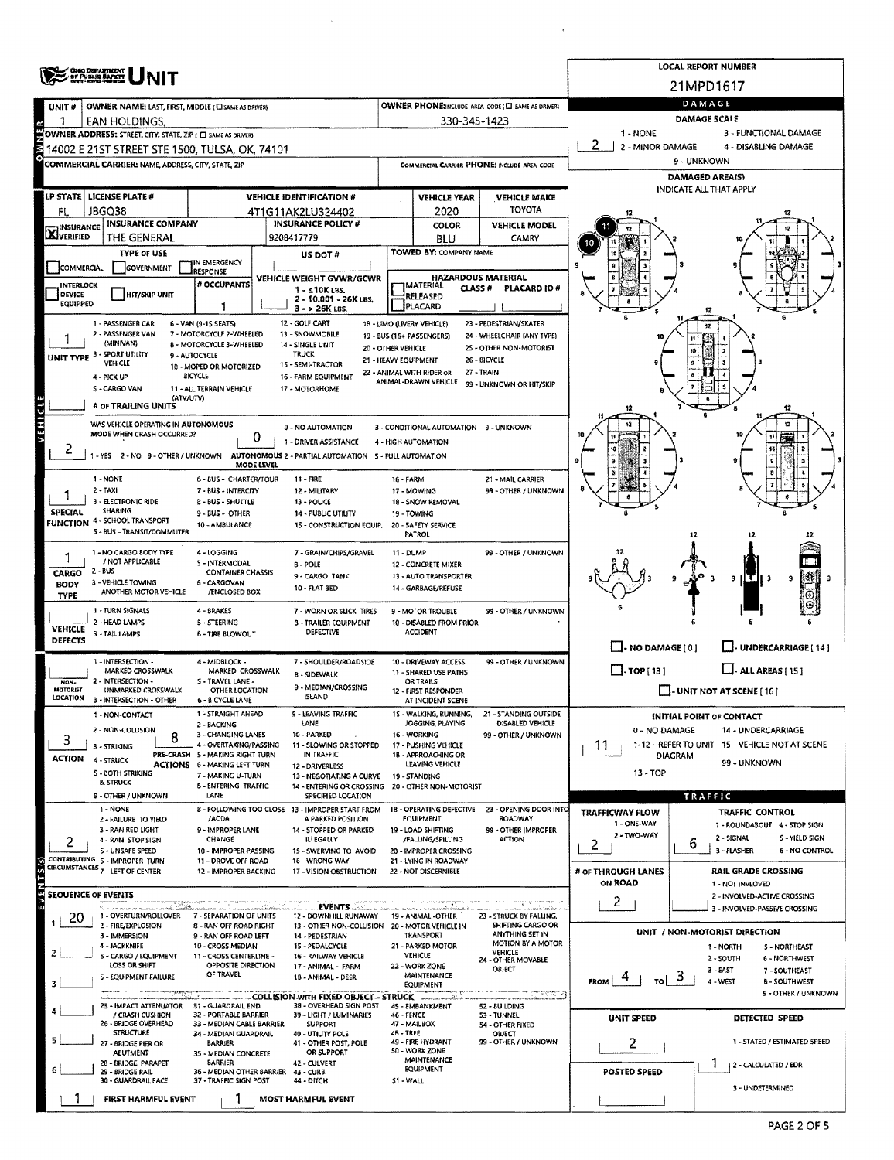|                                   | <b>OHO DEPARTMENT</b><br>OF PUBLIC BAPETY                                                                     |                                                                        |                                                                         |                      |                                                          |                                                                          |                          | <b>LOCAL REPORT NUMBER</b>                                         |
|-----------------------------------|---------------------------------------------------------------------------------------------------------------|------------------------------------------------------------------------|-------------------------------------------------------------------------|----------------------|----------------------------------------------------------|--------------------------------------------------------------------------|--------------------------|--------------------------------------------------------------------|
|                                   |                                                                                                               |                                                                        |                                                                         |                      |                                                          |                                                                          |                          | 21MPD1617                                                          |
| UNIT#                             | OWNER NAME: LAST, FIRST, MIDDLE (CI SAME AS DRIVER)                                                           |                                                                        |                                                                         |                      |                                                          | OWNER PHONE2NCLUDE AREA CODE (EI SAME AS DRIVER)                         |                          | DAMAGE                                                             |
|                                   | EAN HOLDINGS.                                                                                                 |                                                                        |                                                                         |                      | 330-345-1423                                             |                                                                          | 1 - NONE                 | <b>DAMAGE SCALE</b><br>3 - FUNCTIONAL DAMAGE                       |
|                                   | OWNER ADDRESS: STREET, CITY, STATE, ZIP ( C SAME AS DRIVER)<br>14002 E 21ST STREET STE 1500, TULSA, OK, 74101 |                                                                        |                                                                         |                      |                                                          |                                                                          | 2<br>2 - MINOR DAMAGE    | 4 - DISABLING DAMAGE                                               |
| w o                               | <b>COMMERCIAL CARRIER: NAME ADDRESS, CITY, STATE, ZIP</b>                                                     |                                                                        |                                                                         |                      |                                                          | COMMERCIAL CARRIER PHONE: INCLUDE AREA CODE                              |                          | 9 - UNKNOWN                                                        |
|                                   |                                                                                                               |                                                                        |                                                                         |                      |                                                          |                                                                          |                          | DAMAGED AREA(S)                                                    |
|                                   | LP STATE LICENSE PLATE #                                                                                      |                                                                        | <b>VEHICLE IDENTIFICATION #</b>                                         |                      | <b>VEHICLE YEAR</b>                                      | <b>VEHICLE MAKE</b>                                                      |                          | INDICATE ALL THAT APPLY                                            |
| Fl                                | JBGQ38                                                                                                        |                                                                        | 4T1G11AK2LU324402                                                       |                      | 2020                                                     | <b>TOYOTA</b>                                                            |                          |                                                                    |
| INSURANCE<br><b>X</b> WSURAN      | <b>INSURANCE COMPANY</b>                                                                                      |                                                                        | <b>INSURANCE POLICY #</b>                                               |                      | <b>COLOR</b>                                             | <b>VEHICLE MODEL</b>                                                     |                          |                                                                    |
|                                   | THE GENERAL                                                                                                   |                                                                        | 9208417779                                                              |                      | BLU                                                      | CAMRY                                                                    |                          |                                                                    |
| COMMERCIAL                        | <b>TYPE OF USE</b><br><b>GOVERNMENT</b>                                                                       | IN EMERGENCY                                                           | US DOT#                                                                 |                      | TOWED BY: COMPANY NAME                                   |                                                                          |                          |                                                                    |
|                                   |                                                                                                               | RESPONSE<br># OCCUPANTS                                                | VEHICLE WEIGHT GVWR/GCWR                                                |                      | <b>HAZARDOUS MATERIAL</b>                                |                                                                          |                          |                                                                    |
| <b>INTERLOCK</b><br><b>DEVICE</b> | <b>HIT/SKIP UNIT</b>                                                                                          |                                                                        | $1 - 510K$ LBS.<br>2 - 10.001 - 26K LBS.                                |                      | <b>JMATERIAL</b><br>CLASS#<br><b>RELEASED</b>            | PLACARD ID#                                                              |                          |                                                                    |
| EQUIPPED                          |                                                                                                               | 1                                                                      | 3 - > 26K LBS.                                                          |                      | PLACARD                                                  |                                                                          |                          |                                                                    |
|                                   | 1 - PASSENGER CAR<br>2 - PASSENGER VAN                                                                        | 6 - VAN (9-15 SEATS)<br>7 - MOTORCYCLE 2-WHEELED                       | 12 - GOLF CART<br>13 - SNOWMOBILE                                       |                      | 18 - LIMO (LIVERY VEHICLE)                               | 23 - PEDESTRIAN/SKATER                                                   |                          | 12                                                                 |
|                                   | (MINIVAN)                                                                                                     | <b>B - MOTORCYCLE 3-WHEELED</b>                                        | 14 - SINGLE UNIT                                                        | 20 - OTHER VEHICLE   | 19 - BUS (16+ PASSENGERS)                                | 24 - WHEELCHAIR (ANY TYPE)<br>25 - OTHER NON-MOTORIST                    |                          | 10                                                                 |
|                                   | UNIT TYPE 3 - SPORT UTILITY<br>VEHICLE                                                                        | 9 - AUTOCYCLE<br>10 - MOPED OR MOTORIZED                               | <b>TRUCK</b><br>15 - SEMI-TRACTOR                                       | 21 - HEAVY EQUIPMENT |                                                          | 26 - BICYCLE                                                             |                          |                                                                    |
|                                   | 4 - PICK UP                                                                                                   | <b>BICYCLE</b>                                                         | 16 - FARM EQUIPMENT                                                     |                      | 22 - ANIMAL WITH RIDER OR<br>ANIMAL-DRAWN VEHICLE        | 27 - TRAIN<br>99 - UNKNOWN OR HIT/SKIP                                   |                          |                                                                    |
|                                   | S - CARGO VAN<br>(ATV/UTV)                                                                                    | 11 - ALL TERRAIN VEHICLE                                               | 17 - MOTORHOME                                                          |                      |                                                          |                                                                          |                          |                                                                    |
|                                   | # OF TRAILING UNITS                                                                                           |                                                                        |                                                                         |                      |                                                          |                                                                          |                          | 12                                                                 |
| VEHICLE                           | WAS VEHICLE OPERATING IN AUTONOMOUS<br>MODE WHEN CRASH OCCURRED?                                              |                                                                        | 0 - NO AUTOMATION                                                       |                      | 3 - CONDITIONAL AUTOMATION 9 - UNKNOWN                   |                                                                          |                          |                                                                    |
|                                   |                                                                                                               | 0                                                                      | 1 - DRIVER ASSISTANCE                                                   |                      | 4 - HIGH AUTOMATION                                      |                                                                          |                          |                                                                    |
|                                   | -YES 2-NO 9-OTHER/UNKNOWN                                                                                     | MODE LEVEL                                                             | AUTONOMOUS 2 - PARTIAL AUTOMATION 5 - FULL AUTOMATION                   |                      |                                                          |                                                                          |                          |                                                                    |
|                                   | 1 - NONE                                                                                                      | 6 - BUS - CHARTER/TOUR                                                 | <b>11 - FIRE</b>                                                        | <b>16 - FARM</b>     |                                                          | 21 - MAIL CARRIER                                                        |                          |                                                                    |
|                                   | $2 - TAXI$<br>3 - ELECTRONIC RIDE                                                                             | 7 - BUS - INTERCITY<br><b>8 - BUS - SHUTTLE</b>                        | 12 - MILITARY<br>13 - POUCE                                             |                      | 17 - MOWING                                              | 99 - OTHER / UNKNOWN                                                     |                          |                                                                    |
| <b>SPECIAL</b>                    | <b>SHARING</b>                                                                                                | 9 - BUS - OTHER                                                        | 14 - PUBLIC UTILITY                                                     |                      | 18 - SNOW REMOVAL<br>19 - TOWING                         |                                                                          |                          |                                                                    |
|                                   | <b>FUNCTION 4 - SCHOOL TRANSPORT</b><br>5 - BUS - TRANSIT/COMMUTER                                            | 10 - AMBULANCE                                                         | 15 - CONSTRUCTION EQUIP.                                                |                      | 20 - SAFETY SERVICE                                      |                                                                          |                          |                                                                    |
|                                   |                                                                                                               |                                                                        |                                                                         |                      | PATROL                                                   |                                                                          |                          |                                                                    |
|                                   | 1 - NO CARGO BODY TYPE<br>/ NOT APPLICABLE                                                                    | 4 - LOGGING<br><b>S-INTERMODAL</b>                                     | 7 - GRAIN/CHIPS/GRAVEL<br><b>B-POLE</b>                                 | 11 - DUMP            | 12 - CONCRETE MIXER                                      | 99 - OTHER / UNKNOWN                                                     |                          |                                                                    |
| CARGO                             | 2 - BUS<br>3 - VEHICLE TOWING                                                                                 | <b>CONTAINER CHASSIS</b><br>6 - CARGOVAN                               | 9 - CARGO TANK                                                          |                      | 13 - AUTO TRANSPORTER                                    |                                                                          |                          | 9<br>9<br>- 3                                                      |
| <b>BODY</b><br><b>TYPE</b>        | ANOTHER MOTOR VEHICLE                                                                                         | /ENCLOSED BOX                                                          | 10 - FLAT BED                                                           |                      | 14 - GARBAGE/REFUSE                                      |                                                                          |                          |                                                                    |
|                                   | 1 - TURN SIGNALS                                                                                              | 4 - BRAKES                                                             | 7 - WORN OR SLICK TIRES                                                 |                      | 9 - MOTOR TROUBLE                                        | 99 - OTHER / UNKNOWN                                                     |                          |                                                                    |
| <b>VEHICLE</b>                    | 2 - HEAD LAMPS<br>3 - TAIL LAMPS                                                                              | 5 - STEERING                                                           | <b>B - TRAILER EQUIPMENT</b><br>DEFECTIVE                               |                      | 10 - DISABLED FROM PRIOR<br><b>ACCIDENT</b>              |                                                                          |                          |                                                                    |
| DEFECTS                           |                                                                                                               | 6 - TIRE BLOWOUT                                                       |                                                                         |                      |                                                          |                                                                          | $\Box$ - NO DAMAGE [ 0 ] | U-UNDERCARRIAGE [ 14 ]                                             |
|                                   | 1 - INTERSECTION -                                                                                            | 4 - MIDBLOCK -                                                         | 7 - SHOULDER/ROADSIDE                                                   |                      | 10 - DRIVEWAY ACCESS                                     | 99 - OTHER / UNKNOWN                                                     |                          |                                                                    |
| NON.                              | MARKED CROSSWALK<br>2 - INTERSECTION -                                                                        | MARKED CROSSWALK<br>5 - TRAVEL LANE -                                  | <b>B - SIDEWALK</b>                                                     |                      | 11 - SHARED USE PATHS<br>OR TRAILS                       |                                                                          | $\Box$ -TOP[13]          | $\Box$ - ALL AREAS [ 15 ]                                          |
| <b>MOTORIST</b><br>LOCATION       | UNMARKED CROSSWALK<br>3 - INTERSECTION - OTHER                                                                | OTHER LOCATION<br><b>6 - BICYCLE LANE</b>                              | 9 - MEDIAN/CROSSING<br><b>ISLAND</b>                                    |                      | 12 - FIRST RESPONDER<br>AT INCIDENT SCENE                |                                                                          |                          | $\Box$ - UNIT NOT AT SCENE [16]                                    |
|                                   | 1 - NON-CONTACT                                                                                               | 1 - STRAIGHT AHEAD                                                     | 9 - LEAVING TRAFFIC                                                     |                      | 1S - WALKING, RUNNING,                                   | 21 - STANDING OUTSIDE                                                    |                          | <b>INITIAL POINT OF CONTACT</b>                                    |
|                                   | 2 - NON-COLLISION                                                                                             | 2 - BACKING<br>3 - CHANGING LANES                                      | LANE                                                                    |                      | JOGGING, PLAYING                                         | DISABLED VEHICLE                                                         | 0 - NO DAMAGE            | 14 - UNDERCARRIAGE                                                 |
| 3                                 | 8<br>3 - STRIKING                                                                                             | 4 - OVERTAKING/PASSING                                                 | 10 - PARKED<br>11 - SLOWING OR STOPPED                                  |                      | 16 - WORKING<br>17 - PUSHING VEHICLE                     | 99 - OTHER / UNKNOWN                                                     | 11                       | 1-12 - REFER TO UNIT 15 - VEHICLE NOT AT SCENE                     |
| <b>ACTION</b>                     | 4 - STRUCK                                                                                                    | PRE-CRASH 5 - MAKING RIGHT TURN<br><b>ACTIONS 6 - MAKING LEFT TURN</b> | IN TRAFFIC<br>12 - DRIVERLESS                                           |                      | 18 - APPROACHING OR<br>LEAVING VEHICLE                   |                                                                          |                          | <b>DIAGRAM</b><br>99 - UNKNOWN                                     |
|                                   | <b>S - BOTH STRIKING</b><br>& STRUCK                                                                          | 7 - MAKING U-TURN                                                      | 13 - NEGOTIATING A CURVE                                                |                      | 19 - STANDING                                            |                                                                          | $13 - TOP$               |                                                                    |
|                                   | 9 - OTHER / UNKNOWN                                                                                           | <b>5 - ENTERING TRAFFIC</b><br>LANE                                    | 14 - ENTERING OR CROSSING 20 - OTHER NON-MOTORIST<br>SPECIFIED LOCATION |                      |                                                          |                                                                          |                          | <b>TRAFFIC</b>                                                     |
|                                   | 1 - NONE                                                                                                      |                                                                        | 8 - FOLLOWING TOO CLOSE 13 - IMPROPER START FROM                        |                      | 18 - OPERATING DEFECTIVE                                 | 23 - OPENING DOOR INTO                                                   | <b>TRAFFICWAY FLOW</b>   | TRAFFIC CONTROL                                                    |
|                                   | 2 - FAILURE TO YIELD<br>3 - RAN RED LIGHT                                                                     | /ACDA<br>9 - IMPROPER LANE                                             | A PARKED POSITION<br>14 - STOPPED OR PARKED                             |                      | <b>EQUIPMENT</b><br>19 - LOAD SHIFTING                   | ROADWAY<br>99 - OTHER IMPROPER                                           | 1 ONE-WAY                | 1 - ROUNDABOUT 4 - STOP SIGN                                       |
| 2                                 | 4 - RAN STOP SIGN                                                                                             | CHANGE                                                                 | <b>ILLEGALLY</b>                                                        |                      | /FALLING/SPILLING                                        | <b>ACTION</b>                                                            | 2 - TWO-WAY<br>2         | 2 - SIGNAL<br>S - YIELD SIGN<br>6                                  |
|                                   | S - UNSAFE SPEED<br>CONTRIBUTING 6 - IMPROPER TURN                                                            | 10 - IMPROPER PASSING<br>11 - DROVE OFF ROAD                           | 15 - SWERVING TO AVOID<br>16 - WRONG WAY                                |                      | 20 - IMPROPER CROSSING<br>21 - LYING IN ROADWAY          |                                                                          |                          | 3 - FLASHER<br>6 - NO CONTROL                                      |
|                                   | CIRCUMSTANCES 7 - LEFT OF CENTER                                                                              | 12 - IMPROPER BACKING                                                  | 17 - VISION OBSTRUCTION                                                 |                      | 22 - NOT DISCERNIBLE                                     |                                                                          | # OF THROUGH LANES       | <b>RAIL GRADE CROSSING</b>                                         |
| EVE<br><b>SEOUENCE OF EVENTS</b>  |                                                                                                               |                                                                        |                                                                         |                      |                                                          |                                                                          | ON ROAD                  | 1 - NOT INVLOVED<br>2 - INVOLVED-ACTIVE CROSSING                   |
|                                   | a kana astronomia mwaka 200<br>1 - OVERTURN/ROLLOVER                                                          | 7 - SEPARATION OF UNITS                                                | <b>EVENTS And Allen</b><br>12 - DOWNHILL RUNAWAY                        |                      | a mara a contra interior partir de<br>19 - ANIMAL -OTHER | The contraction manager and the determination<br>23 - STRUCK BY FALLING, | 2                        | 3 - INVOLVED-PASSIVE CROSSING                                      |
| 20                                | 2 - FIRE/EXPLOSION                                                                                            | 8 - RAN OFF ROAD RIGHT                                                 | 13 - OTHER NON-COLLISION 20 - MOTOR VEHICLE IN                          |                      |                                                          | SHIFTING CARGO OR                                                        |                          | UNIT / NON-MOTORIST DIRECTION                                      |
|                                   | 3 - IMMERSION<br>4 - JACKKNIFE                                                                                | 9 - RAN OFF ROAD LEFT<br>10 - CROSS MEDIAN                             | 14 - PEDESTRIAN<br>15 - PEDALCYCLE                                      |                      | TRANSPORT<br>21 - PARKED MOTOR                           | ANYTHING SET IN<br>MOTION BY A MOTOR                                     |                          | 1 - NORTH<br>5 - NORTHEAST                                         |
|                                   | 5 - CARGO / EQUIPMENT<br>LOSS OR SHIFT                                                                        | 11 - CROSS CENTERLINE -<br>OPPOSITE DIRECTION                          | 16 - RAILWAY VEHICLE                                                    |                      | VEHICLE<br>22 - WORK ZONE                                | <b>VEHICLE</b><br>24 - OTHER MOVABLE                                     |                          | 2 - SOUTH<br><b>6 - NORTHWEST</b>                                  |
|                                   | 6 - EQUIPMENT FAILURE                                                                                         | OF TRAVEL                                                              | 17 - ANIMAL - FARM<br>18 - ANIMAL - DEER                                |                      | MAINTENANCE                                              | OBJECT                                                                   | TO<br><b>FROM</b>        | $3 - EAST$<br>7 - SOUTHEAST<br>3<br>4 - WEST<br><b>B-SOUTHWEST</b> |
| з                                 |                                                                                                               |                                                                        |                                                                         |                      | EQUIPMENT                                                | was consequenced to<br>www.provider.com                                  |                          | 9 - OTHER / UNKNOWN                                                |
|                                   | 25 - IMPACT ATTENUATOR 31 - GUARDRAIL END                                                                     | 32 - PORTABLE BARRIER                                                  | 38 - OVERHEAD SIGN POST                                                 | 46 - FENCE           | 45 - EMBANKMENT                                          | 52 - BUILDING                                                            |                          |                                                                    |
|                                   | / CRASH CUSHION<br>26 - BRIDGE OVERHEAD                                                                       | 33 - MEDIAN CABLE BARRIER                                              | 39 - LIGHT / LUMINARIES<br><b>SUPPORT</b>                               |                      | 47 - MAILBOX                                             | 53 - TUNNEL<br>54 - OTHER FIXED                                          | UNIT SPEED               | <b>DETECTED SPEED</b>                                              |
|                                   | <b>STRUCTURE</b><br>27 - BRIDGE PIER OR                                                                       | 34 - MEDIAN GUARDRAIL<br><b>BARRIER</b>                                | 40 - UTILITY POLE<br>41 - OTHER POST, POLE                              | 48 - TREE            | 49 - FIRE HYDRANT                                        | OBJECT<br>99 - OTHER / UNKNOWN                                           | 2                        | 1 - STATED / ESTIMATED SPEED                                       |
|                                   | ABUTMENT<br>28 - BRIDGE PARAPET                                                                               | 35 - MEDIAN CONCRETE<br><b>BARRIER</b>                                 | OR SUPPORT<br>42 - CULVERT                                              |                      | 50 - WORK ZONE<br>MAINTENANCE                            |                                                                          |                          | ٦                                                                  |
|                                   | 29 - BRIDGE RAIL                                                                                              | 36 - MEDIAN OTHER BARRIER 43 - CURB                                    |                                                                         |                      | <b>EQUIPMENT</b>                                         |                                                                          | POSTED SPEED             | 2 - CALCULATED / EDR                                               |
|                                   | 30 - GUARDRAIL FACE                                                                                           | 37 - TRAFFIC SIGN POST                                                 | 44 - DITCH                                                              | S1-WALL              |                                                          |                                                                          |                          | 3 - UNDETERMINED                                                   |
|                                   | <b>FIRST HARMFUL EVENT</b>                                                                                    |                                                                        | <b>MOST HARMFUL EVENT</b>                                               |                      |                                                          |                                                                          |                          |                                                                    |

 $\sim 10^{-1}$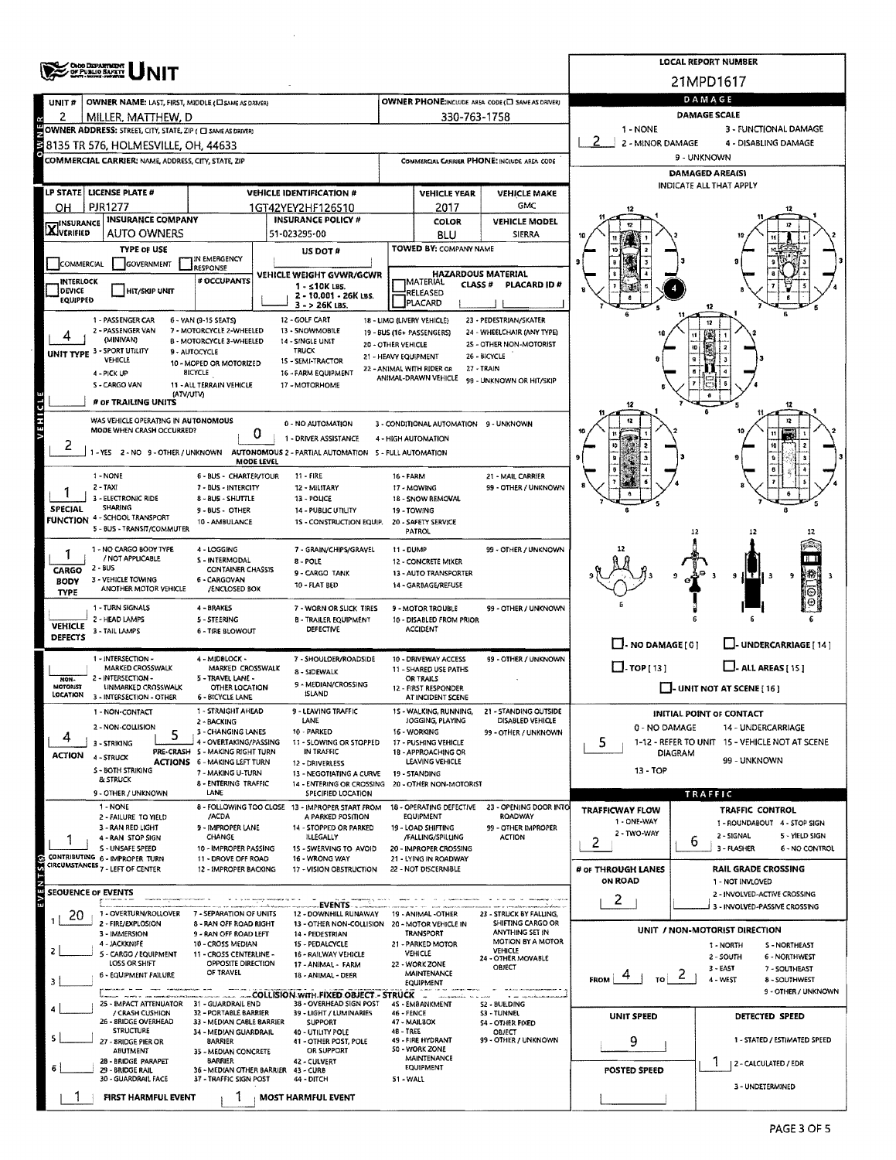|                           | OHOO DEPARTMENT<br>OF PUBLIO SAFETY                              |                                                           |                                                                                             |                      |                                                   |                                                       |                                          | <b>LOCAL REPORT NUMBER</b>                                         |  |  |  |  |
|---------------------------|------------------------------------------------------------------|-----------------------------------------------------------|---------------------------------------------------------------------------------------------|----------------------|---------------------------------------------------|-------------------------------------------------------|------------------------------------------|--------------------------------------------------------------------|--|--|--|--|
|                           |                                                                  |                                                           |                                                                                             |                      |                                                   |                                                       |                                          | 21MPD1617                                                          |  |  |  |  |
| UNIT#                     | OWNER NAME: LAST, FIRST, MIDDLE ( L SAME AS DRIVER)              |                                                           |                                                                                             |                      |                                                   | OWNER PHONE:INCLUDE AREA CODE (E) SAME AS DRIVER!     |                                          | DAMAGE                                                             |  |  |  |  |
| 2                         | MILLER, MATTHEW, D                                               |                                                           |                                                                                             |                      | 330-763-1758                                      |                                                       |                                          | <b>DAMAGE SCALE</b>                                                |  |  |  |  |
|                           | OWNER ADDRESS: STREET, CITY, STATE, ZIP ( C SAME AS DRIVER)      |                                                           |                                                                                             |                      |                                                   |                                                       | 1 - NONE                                 | 3 - FUNCTIONAL DAMAGE                                              |  |  |  |  |
| È                         | 8135 TR 576, HOLMESVILLE, OH, 44633                              |                                                           |                                                                                             |                      |                                                   |                                                       | 2 - MINOR DAMAGE<br>4 - DISABLING DAMAGE |                                                                    |  |  |  |  |
|                           | COMMERCIAL CARRIER: NAME, ADDRESS, CITY, STATE, ZIP              |                                                           |                                                                                             |                      |                                                   | COMMERCIAL CARRIER PHONE: INCLUDE AREA CODE           | 9 - UNKNOWN                              |                                                                    |  |  |  |  |
|                           |                                                                  |                                                           |                                                                                             |                      |                                                   |                                                       |                                          | DAMAGED AREA(S)                                                    |  |  |  |  |
|                           | LP STATE   LICENSE PLATE #                                       |                                                           | <b>VEHICLE IDENTIFICATION #</b>                                                             |                      | <b>VEHICLE YEAR</b>                               | <b>VEHICLE MAKE</b>                                   |                                          | <b>INDICATE ALL THAT APPLY</b>                                     |  |  |  |  |
| он                        | <b>PJR1277</b>                                                   |                                                           | 1GT42YEY2HF126510                                                                           |                      | 2017                                              | GMC                                                   |                                          |                                                                    |  |  |  |  |
| <b>X</b> INSURANCE        | <b>INSURANCE COMPANY</b>                                         |                                                           | <b>INSURANCE POLICY #</b>                                                                   |                      | <b>COLOR</b>                                      | <b>VEHICLE MODEL</b>                                  |                                          |                                                                    |  |  |  |  |
|                           | <b>AUTO OWNERS</b>                                               |                                                           | 51-023295-00                                                                                |                      | BLU<br>TOWED BY: COMPANY NAME                     | <b>SIERRA</b>                                         |                                          |                                                                    |  |  |  |  |
| COMMERCIAL                | <b>TYPE OF USE</b><br>GOVERNMENT                                 | IN EMERGENCY                                              | US DOT #                                                                                    |                      |                                                   |                                                       |                                          |                                                                    |  |  |  |  |
| <b>INTERLOCK</b>          |                                                                  | RESPONSE<br>VEHICLE WEIGHT GVWR/GCWR<br># OCCUPANTS       |                                                                                             |                      | IMATERIAL                                         | <b>HAZARDOUS MATERIAL</b>                             |                                          |                                                                    |  |  |  |  |
| DEVICE                    | <b>HIT/SKIP UNIT</b>                                             |                                                           | $1 - 510K$ LBS.<br>2 - 10.001 - 26K LBS.                                                    |                      | CLASS#<br>RELEASED                                | PLACARD ID#                                           |                                          |                                                                    |  |  |  |  |
| EQUIPPED                  |                                                                  |                                                           | 3 - > 26K LBS.                                                                              |                      | PLACARD                                           |                                                       |                                          |                                                                    |  |  |  |  |
|                           | 1 - PASSENGER CAR<br>2 - PASSENGER VAN                           | 6 - VAN (9-15 SEATS)<br>7 - MOTORCYCLE 2-WHEELED          | 12 - GOLF CART<br>13 - SNOWMOBILE                                                           |                      | 18 - LIMO (LIVERY VEHICLE)                        | 23 - PEDESTRIAN/SKATER                                |                                          |                                                                    |  |  |  |  |
|                           | (MINIVAN)                                                        | B - MOTORCYCLE 3-WHEELED                                  | 14 - SINGLE UNIT                                                                            | 20 - OTHER VEHICLE   | 19 - BUS (16+ PASSENGERS)                         | 24 - WHEELCHAIR (ANY TYPE)<br>25 - OTHER NON-MOTORIST |                                          |                                                                    |  |  |  |  |
|                           | UNIT TYPE 3 - SPORT UTILITY<br>VEHICLE                           | 9 - AUTOCYCLE<br>10 - MOPED OR MOTORIZED                  | <b>TRUCK</b><br>15 - SEMI-TRACTOR                                                           | 21 - HEAVY EQUIPMENT |                                                   | 26 - BICYCLE                                          |                                          |                                                                    |  |  |  |  |
|                           | 4 - PICK UP                                                      | <b>BICYCLE</b>                                            | 16 - FARM EQUIPMENT                                                                         |                      | 22 - ANIMAL WITH RIDER OR<br>ANIMAL-DRAWN VEHICLE | 27 - TRAIN<br>99 - UNKNOWN OR HIT/SKIP                |                                          |                                                                    |  |  |  |  |
|                           | S - CARGO VAN                                                    | 11 - ALL TERRAIN VEHICLE<br>(ATV/UTV)                     | 17 - MOTORHOME                                                                              |                      |                                                   |                                                       |                                          |                                                                    |  |  |  |  |
|                           | # or TRAILING UNITS                                              |                                                           |                                                                                             |                      |                                                   |                                                       |                                          |                                                                    |  |  |  |  |
| E                         | WAS VEHICLE OPERATING IN AUTONOMOUS<br>MODE WHEN CRASH OCCURRED? |                                                           | 0 - NO AUTOMATION                                                                           |                      | 3 - CONDITIONAL AUTOMATION 9 - UNKNOWN            |                                                       |                                          |                                                                    |  |  |  |  |
|                           |                                                                  |                                                           | 0<br>1 - DRIVER ASSISTANCE                                                                  |                      | 4 - HIGH AUTOMATION                               |                                                       |                                          | 10                                                                 |  |  |  |  |
| 2                         | 1-YES 2-NO 9-OTHER/UNKNOWN                                       |                                                           | AUTONOMOUS 2 - PARTIAL AUTOMATION 5 - FULL AUTOMATION<br>MODE LEVEL                         |                      |                                                   |                                                       |                                          |                                                                    |  |  |  |  |
|                           | 1 - NONE                                                         | 6 - BUS - CHARTER/TOUR                                    | $11 - FIRE$                                                                                 | 16 - FARM            |                                                   | 21 - MAIL CARRIER                                     |                                          |                                                                    |  |  |  |  |
|                           | 2 - TAXI                                                         | 7 - BUS - INTERCITY                                       | 12 - MILITARY                                                                               |                      | 17 - MOWING                                       | 99 - OTHER / UNKNOWN                                  |                                          |                                                                    |  |  |  |  |
| <b>SPECIAL</b>            | 3 - ELECTRONIC RIDE<br><b>SHARING</b>                            | 8 - BUS - SHUTTLE                                         | 13 - POLICE                                                                                 |                      |                                                   |                                                       |                                          |                                                                    |  |  |  |  |
|                           | <b>FUNCTION 4 - SCHOOL TRANSPORT</b>                             | $9 - BUS - OTHER$<br>10 - AMBULANCE                       | 14 - PUBLIC UTILITY<br>1S - CONSTRUCTION EQUIP.                                             |                      | 19 - TOWING<br>20 - SAFETY SERVICE                |                                                       |                                          |                                                                    |  |  |  |  |
|                           | 5 - BUS - TRANSIT/COMMUTER                                       |                                                           |                                                                                             |                      | PATROL                                            |                                                       |                                          | 12                                                                 |  |  |  |  |
|                           | 1 - NO CARGO BODY TYPE                                           | 4 - LOGGING                                               | 7 - GRAIN/CHIPS/GRAVEL                                                                      | 11 - DUMP            |                                                   | 99 - OTHER / UNKNOWN                                  |                                          |                                                                    |  |  |  |  |
| CARGO                     | / NOT APPLICABLE<br>$2 - BUS$                                    | S - INTERMODAL<br><b>CONTAINER CHASSIS</b>                | 8 - POLE<br>9 - CARGO TANK                                                                  |                      | 12 - CONCRETE MIXER<br>13 - AUTO TRANSPORTER      |                                                       |                                          |                                                                    |  |  |  |  |
| <b>BODY</b>               | 3 - VEHICLE TOWING<br>ANOTHER MOTOR VEHICLE                      | 6 - CARGOVAN<br>/ENCLOSED BOX                             | 10 - FLAT BED                                                                               |                      | 14 - GARBAGE/REFUSE                               |                                                       |                                          | тн<br>9                                                            |  |  |  |  |
| <b>TYPE</b>               |                                                                  |                                                           |                                                                                             |                      |                                                   |                                                       |                                          |                                                                    |  |  |  |  |
|                           | 1 - TURN SIGNALS<br>2 - HEAD LAMPS                               | 4 - BRAKES<br>5 - STEERING                                | 7 - WORN OR SLICK TIRES<br><b>B - TRAILER EQUIPMENT</b>                                     |                      | 9 - MOTOR TROUBLE<br>10 - DISABLED FROM PRIOR     | 99 - OTHER / UNKNOWN                                  |                                          |                                                                    |  |  |  |  |
| <b>VEHICLE</b><br>DEFECTS | 3 - TAIL LAMPS                                                   | 6 - TIRE BLOWOUT                                          | <b>DEFECTIVE</b>                                                                            |                      | <b>ACCIDENT</b>                                   |                                                       |                                          |                                                                    |  |  |  |  |
|                           |                                                                  |                                                           |                                                                                             |                      |                                                   |                                                       | $\Box$ - NO DAMAGE [ 0 ]                 | - UNDERCARRIAGE [ 14 ]                                             |  |  |  |  |
|                           | 1 - INTERSECTION -<br>MARKED CROSSWALK                           | 4 - MIDBLOCK -<br>MARKED CROSSWALK                        | 7 - SHOULDER/ROADSIDE<br>8 - SIDEWALK                                                       |                      | 10 - DRIVEWAY ACCESS<br>11 - SHARED USE PATHS     | 99 - OTHER / UNKNOWN                                  | $\Box$ - TOP [13]                        | $\Box$ - ALL AREAS [ 15 ]                                          |  |  |  |  |
| NON-<br>MOTORIST          | 2 - INTERSECTION -<br>UNMARKED CROSSWALK                         | 5 - TRAVEL LANE -<br>OTHER LOCATION                       | 9 - MEDIAN/CROSSING                                                                         |                      | OR TRAILS<br>12 - FIRST RESPONDER                 |                                                       |                                          | $\Box$ - UNIT NOT AT SCENE [ 16 ]                                  |  |  |  |  |
| LOCATION                  | 3 - INTERSECTION - OTHER                                         | 6 - BICYCLE LANE                                          | <b>ISLAND</b>                                                                               |                      | AT INCIDENT SCENE                                 |                                                       |                                          |                                                                    |  |  |  |  |
|                           | 1 - NON-CONTACT                                                  | 1 - STRAIGHT AHEAD                                        | 9 - LEAVING TRAFFIC<br>LANE                                                                 |                      | 15 - WALKING, RUNNING,                            | 21 - STANDING OUTSIDE                                 |                                          | <b>INITIAL POINT OF CONTACT</b>                                    |  |  |  |  |
|                           | 2 - NON-COLLISION<br>5                                           | 2 - BACKING<br>3 - CHANGING LANES                         | 10 - PARKED                                                                                 |                      | JOGGING, PLAYING<br>16 - WORKING                  | DISABLED VEHICLE<br>99 - OTHER / UNKNOWN              | 0 - NO DAMAGE                            | 14 - UNDERCARRIAGE                                                 |  |  |  |  |
| 4                         | 3 - STRIKING                                                     | 4 - OVERTAKING/PASSING<br>PRE-CRASH 5 - MAKING RIGHT TURN | 11 - SLOWING OR STOPPED<br>IN TRAFFIC                                                       |                      | 17 - PUSHING VEHICLE<br>18 - APPROACHING OR       |                                                       | 5                                        | 1-12 - REFER TO UNIT 15 - VEHICLE NOT AT SCENE                     |  |  |  |  |
| <b>ACTION</b>             | 4 - STRUCK                                                       | ACTIONS 6 - MAKING LEFT TURN                              | 12 - DRIVERLESS                                                                             |                      | LEAVING VEHICLE                                   |                                                       |                                          | <b>DIAGRAM</b><br>99 - UNKNOWN                                     |  |  |  |  |
|                           | S - BOTH STRIKING<br>& STRUCK                                    | 7 - MAKING U-TURN<br>8 - ENTERING TRAFFIC                 | 13 - NEGOTIATING A CURVE 19 - STANDING<br>14 - ENTERING OR CROSSING 20 - OTHER NON-MOTORIST |                      |                                                   |                                                       | 13 - TOP                                 |                                                                    |  |  |  |  |
|                           | 9 - OTHER / UNKNOWN                                              | LANE                                                      | SPECIFIED LOCATION                                                                          |                      |                                                   |                                                       |                                          | TRAFFIC                                                            |  |  |  |  |
|                           | 1 - NONE<br>2 - FAILURE TO YIELD                                 | /ACDA                                                     | 8 - FOLLOWING TOO CLOSE 13 - IMPROPER START FROM<br>A PARKED POSITION                       |                      | 18 - OPERATING DEFECTIVE<br>EQUIPMENT             | 23 - OPENING DOOR INTO<br><b>ROADWAY</b>              | <b>TRAFFICWAY FLOW</b>                   | <b>TRAFFIC CONTROL</b>                                             |  |  |  |  |
|                           | 3 - RAN RED LIGHT                                                | 9 - IMPROPER LANE                                         | 14 - STOPPED OR PARKED                                                                      |                      | 19 - LOAD SHIFTING                                | 99 - OTHER IMPROPER                                   | 1 - ONE-WAY<br>2 - TWO-WAY               | 1 - ROUNDABOUT 4 - STOP SIGN                                       |  |  |  |  |
|                           | 4 - RAN STOP SIGN<br>S - UNSAFE SPEED                            | CHANGE<br>10 - IMPROPER PASSING                           | <b>ILLEGALLY</b><br>15 - SWERVING TO AVOID                                                  |                      | /FALLING/SPILLING<br>20 - IMPROPER CROSSING       | <b>ACTION</b>                                         | 2                                        | 2 - SIGNAL<br>5 - YIELD SIGN<br>ь<br>3 - FLASHER<br>6 - NO CONTROL |  |  |  |  |
|                           | CONTRIBUTING 6 - IMPROPER TURN                                   | 11 - DROVE OFF ROAD                                       | 16 - WRONG WAY                                                                              |                      | 21 - LYING IN ROADWAY                             |                                                       |                                          |                                                                    |  |  |  |  |
|                           | CIRCUMSTANCES <sub>7</sub> - LEFT OF CENTER                      | 12 - IMPROPER BACKING                                     | 17 - VISION OBSTRUCTION                                                                     |                      | 22 - NOT DISCERNIBLE                              |                                                       | # OF THROUGH LANES<br>ON ROAD            | <b>RAIL GRADE CROSSING</b><br>1 - NOT INVLOVED                     |  |  |  |  |
|                           | <b>SEOUENCE OF EVENTS</b>                                        |                                                           |                                                                                             |                      |                                                   |                                                       |                                          | 2 - INVOLVED-ACTIVE CROSSING                                       |  |  |  |  |
|                           | 1 - OVERTURN/ROLLOVER                                            | 7 - SEPARATION OF UNITS                                   | <b>EVENTS</b><br>a shack through<br>12 - DOWNHILL RUNAWAY 19 - ANIMAL -OTHER                |                      |                                                   | 23 - STRUCK BY FALLING,                               | 2                                        | 3 - INVOLVED-PASSIVE CROSSING                                      |  |  |  |  |
| 20                        | 2 - FIRE/EXPLOSION                                               | 8 - RAN OFF ROAD RIGHT                                    | 13 - OTHER NON-COLLISION 20 - MOTOR VEHICLE IN                                              |                      |                                                   | SHIFTING CARGO OR                                     |                                          | UNIT / NON-MOTORIST DIRECTION                                      |  |  |  |  |
|                           | 3 - IMMERSION<br>4 - JACKKNIFE                                   | 9 - RAN OFF ROAD LEFT<br>10 - CROSS MEDIAN                | 14 - PEDESTRIAN<br>15 - PEDALCYCLE                                                          |                      | <b>TRANSPORT</b><br>21 - PARKED MOTOR             | ANYTHING SET IN<br>MOTION BY A MOTOR                  |                                          | <b>S-NORTHEAST</b><br>1 - NORTH                                    |  |  |  |  |
| z                         | 5 - CARGO / EQUIPMENT<br>LOSS OR SHIFT                           | 11 - CROSS CENTERLINE -<br>OPPOSITE DIRECTION             | 16 - RAILWAY VEHICLE                                                                        |                      | VEHICLE                                           | <b>VEHICLE</b><br>24 - OTHER MOVABLE                  |                                          | 2 - SOUTH<br>6 - NORTHWEST                                         |  |  |  |  |
|                           | 6 - EQUIPMENT FAILURE                                            | OF TRAVEL                                                 | 17 - ANIMAL - FARM<br>18 - ANIMAL - DEER                                                    |                      | 22 - WORK ZONE<br>MAINTENANCE                     | OBJECT                                                |                                          | 3 - EAST<br>7 - SOUTHEAST<br>$\epsilon$                            |  |  |  |  |
| 3                         |                                                                  |                                                           | COLLISION WITH FIXED OBJECT - STRUCK                                                        |                      | <b>EQUIPMENT</b>                                  |                                                       | <b>FROM</b>                              | 4 - WEST<br>8 - SOUTHWEST<br>9 - OTHER / UNKNOWN                   |  |  |  |  |
|                           | 25 - IMPACT ATTENUATOR 31 - GUARDRAIL END                        |                                                           | 38 - OVERHEAD SIGN POST                                                                     |                      | 4S - EMBANKMENT                                   | S2 - BUILDING                                         |                                          |                                                                    |  |  |  |  |
|                           | / CRASH CUSHION<br>26 - 8RIDGE OVERHEAD                          | 32 - PORTABLE BARRIER<br>33 - MEDIAN CABLE BARRIER        | 39 - LIGHT / LUMINARIES<br><b>SUPPORT</b>                                                   | 46 - FENCE           | 47 - MAILBOX                                      | S3 - TUNNEL<br>54 - OTHER FIXED                       | <b>UNIT SPEED</b>                        | DETECTED SPEED                                                     |  |  |  |  |
|                           | <b>STRUCTURE</b><br>27 - BRIDGE PIER OR                          | 34 - MEDIAN GUARDRAIL<br><b>BARRIER</b>                   | 40 - UTILITY POLE<br>41 - OTHER POST, POLE                                                  | 48 - TREE            | 49 - FIRE HYDRANT                                 | OBJECT<br>99 - OTHER / UNKNOWN                        | 9                                        | 1 - STATED / ESTIMATED SPEED                                       |  |  |  |  |
|                           | ABUTMENT                                                         | 35 - MEDIAN CONCRETE                                      | OR SUPPORT                                                                                  |                      | 50 - WORK ZONE<br>MAINTENANCE                     |                                                       |                                          |                                                                    |  |  |  |  |
|                           | 28 - BRIDGE PARAPET<br>29 - BRIDGE RAIL                          | <b>BARRIER</b>                                            | 42 - CULVERT<br>36 - MEDIAN OTHER BARRIER 43 - CURB                                         |                      | EQUIPMENT                                         |                                                       | POSTED SPEED                             | 2 - CALCULATED / EDR                                               |  |  |  |  |
|                           | 30 - GUARDRAIL FACE                                              | 37 - TRAFFIC SIGN POST                                    | 44 - DITCH                                                                                  | 51 - WALL            |                                                   |                                                       |                                          | 3 - UNDETERMINED                                                   |  |  |  |  |
|                           | FIRST HARMFUL EVENT                                              |                                                           | MOST HARMFUL EVENT                                                                          |                      |                                                   |                                                       |                                          |                                                                    |  |  |  |  |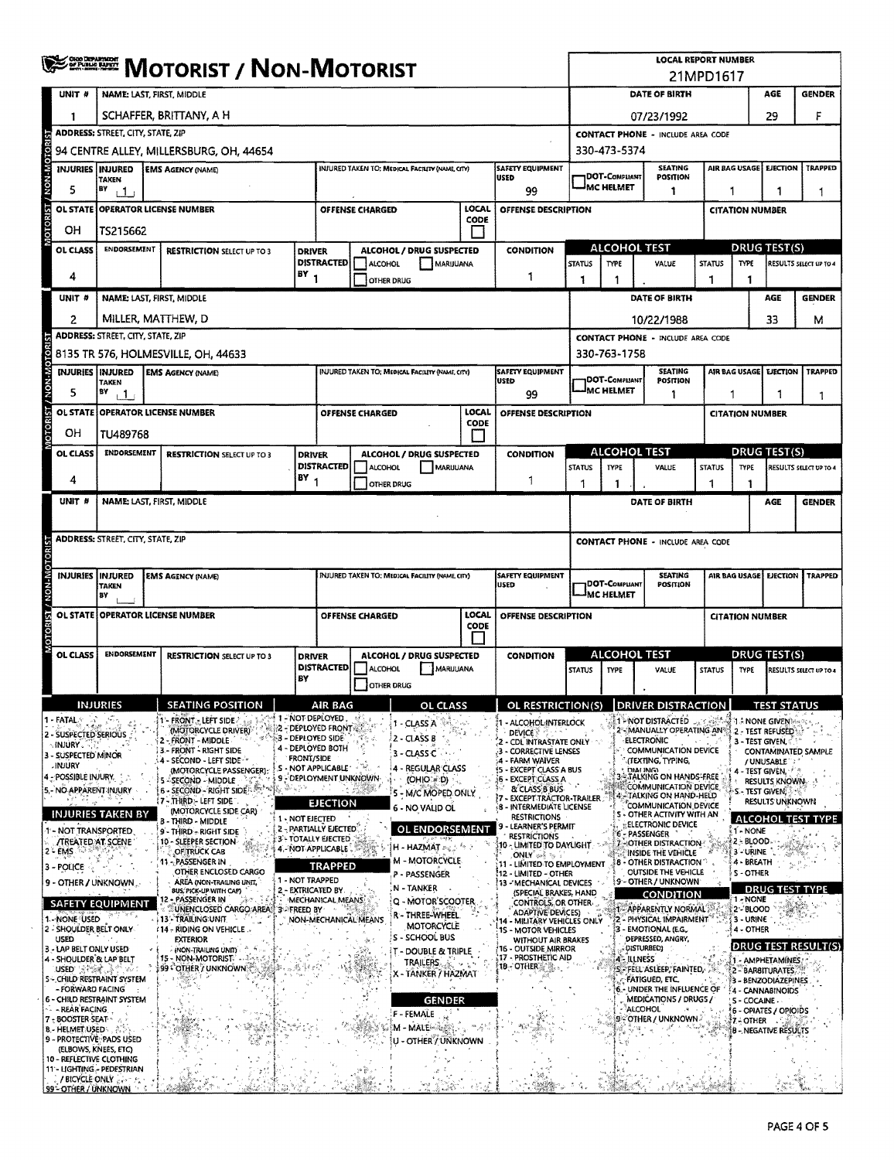|                                                                                |                                                                                 | <b>WE DESCRIPT AND MOTORIST</b>                                     |                                           |                                                                       |                        |                                                   |                 |                                                                                | <b>LOCAL REPORT NUMBER</b><br>21MPD1617                                       |                                            |                                                                           |                        |                                         |                        |                               |
|--------------------------------------------------------------------------------|---------------------------------------------------------------------------------|---------------------------------------------------------------------|-------------------------------------------|-----------------------------------------------------------------------|------------------------|---------------------------------------------------|-----------------|--------------------------------------------------------------------------------|-------------------------------------------------------------------------------|--------------------------------------------|---------------------------------------------------------------------------|------------------------|-----------------------------------------|------------------------|-------------------------------|
| UNIT #                                                                         |                                                                                 | NAME: LAST, FIRST, MIDDLE                                           |                                           |                                                                       |                        |                                                   |                 |                                                                                |                                                                               |                                            | <b>DATE OF BIRTH</b>                                                      |                        |                                         | AGE                    | <b>GENDER</b>                 |
| 1                                                                              |                                                                                 | SCHAFFER, BRITTANY, A H                                             |                                           |                                                                       |                        |                                                   |                 |                                                                                |                                                                               | 29<br>F<br>07/23/1992                      |                                                                           |                        |                                         |                        |                               |
|                                                                                | <b>ADDRESS: STREET, CITY, STATE, ZIP</b>                                        |                                                                     |                                           |                                                                       |                        |                                                   |                 |                                                                                | <b>CONTACT PHONE - INCLUDE AREA CODE</b>                                      |                                            |                                                                           |                        |                                         |                        |                               |
| NON-MOTOR                                                                      |                                                                                 | 94 CENTRE ALLEY, MILLERSBURG, OH, 44654                             |                                           |                                                                       |                        | INJURED TAKEN TO: MEDICAL FACILITY (NAME CITY)    |                 | <b>SAFETY EQUIPMENT</b>                                                        | 330-473-5374<br>AIR BAG USAGE<br><b>EJECTION</b><br><b>SEATING</b><br>TRAPPED |                                            |                                                                           |                        |                                         |                        |                               |
| INJURIES   INJURED                                                             | <b>TAKEN</b>                                                                    | <b>EMS AGENCY (NAME)</b>                                            |                                           |                                                                       |                        |                                                   |                 | <b>USED</b>                                                                    |                                                                               | <b>IDOT-COMPLIANT</b><br><b>IMC HELMET</b> | POSITION                                                                  |                        |                                         |                        |                               |
| 5<br><b>OL STATE</b>                                                           | BY<br>$\sqrt{1}$                                                                | <b>OPERATOR LICENSE NUMBER</b>                                      |                                           |                                                                       | <b>OFFENSE CHARGED</b> |                                                   | LOCAL           | 99<br>OFFENSE DESCRIPTION                                                      |                                                                               |                                            | 1                                                                         | 1                      |                                         | -1<br>1                |                               |
| <b>ISINOLOIO</b><br>OН                                                         | TS215662                                                                        |                                                                     |                                           |                                                                       |                        |                                                   | CODE            |                                                                                | <b>CITATION NUMBER</b>                                                        |                                            |                                                                           |                        |                                         |                        |                               |
| OL CLASS                                                                       | <b>ENDORSEMENT</b>                                                              | <b>RESTRICTION SELECT UP TO 3</b>                                   | <b>DRIVER</b>                             |                                                                       |                        | ALCOHOL / DRUG SUSPECTED                          |                 | <b>CONDITION</b>                                                               |                                                                               | <b>ALCOHOL TEST</b>                        |                                                                           |                        | <b>DRUG TEST(S)</b>                     |                        |                               |
|                                                                                |                                                                                 |                                                                     | <b>DISTRACTED</b><br>ALCOHOL<br>MARIJUANA |                                                                       |                        |                                                   | <b>STATUS</b>   | TYPE                                                                           | VALUE                                                                         | <b>STATUS</b>                              | TYPE                                                                      |                        | RESULTS SELECT UP TO 4                  |                        |                               |
| 4                                                                              |                                                                                 |                                                                     | $BY_1$                                    |                                                                       | <b>OTHER DRUG</b>      |                                                   |                 | 1                                                                              | 1                                                                             | 1                                          |                                                                           | 1                      | 1                                       |                        |                               |
| UNIT <sup>#</sup>                                                              |                                                                                 | NAME: LAST, FIRST, MIDDLE                                           |                                           |                                                                       |                        |                                                   |                 |                                                                                |                                                                               |                                            | DATE OF BIRTH                                                             |                        |                                         | <b>AGE</b>             | <b>GENDER</b>                 |
| 2                                                                              |                                                                                 | MILLER, MATTHEW, D                                                  |                                           |                                                                       |                        |                                                   |                 |                                                                                |                                                                               |                                            | 10/22/1988                                                                |                        |                                         | 33                     | м                             |
| <b>OTORIST / NON-MOTORIST</b>                                                  | <b>ADDRESS: STREET, CITY, STATE, ZIP</b><br>8135 TR 576, HOLMESVILLE, OH, 44633 |                                                                     |                                           |                                                                       |                        |                                                   |                 |                                                                                |                                                                               | 330-763-1758                               | <b>CONTACT PHONE - INCLUDE AREA CODE</b>                                  |                        |                                         |                        |                               |
|                                                                                | INJURIES   INJURED                                                              | <b>EMS AGENCY (NAME)</b>                                            |                                           |                                                                       |                        | INJURED TAKEN TO; MEDICAL FACILITY (NAME, CITY)   |                 | <b>SAFETY EQUIPMENT</b>                                                        |                                                                               |                                            | <b>SEATING</b>                                                            | <b>AIR BAG USAGE</b>   |                                         | <b>EJECTION</b>        | <b>TRAPPED</b>                |
| 5                                                                              | TAKEN<br>$\mathbf{P}$                                                           |                                                                     |                                           |                                                                       |                        |                                                   |                 | USED<br>99                                                                     |                                                                               | DOT-COMPLIANT<br><b>MC HELMET</b>          | POSITION<br>1                                                             |                        |                                         |                        | 1                             |
| OL STATE                                                                       |                                                                                 | <b>OPERATOR LICENSE NUMBER</b>                                      |                                           |                                                                       | OFFENSE CHARGED        |                                                   | LOCAL           | OFFENSE DESCRIPTION                                                            |                                                                               |                                            |                                                                           | <b>CITATION NUMBER</b> |                                         |                        |                               |
| ОH                                                                             | TU489768                                                                        |                                                                     |                                           |                                                                       |                        |                                                   | <b>CODE</b>     |                                                                                |                                                                               |                                            |                                                                           |                        |                                         |                        |                               |
| OL CLASS                                                                       | <b>ENDORSEMENT</b>                                                              | <b>RESTRICTION SELECT UP TO 3</b>                                   | <b>DRIVER</b>                             |                                                                       |                        | ALCOHOL / DRUG SUSPECTED                          |                 | <b>CONDITION</b>                                                               |                                                                               | <b>ALCOHOL TEST</b>                        |                                                                           | DRUG TEST(S)           |                                         |                        |                               |
| 4                                                                              |                                                                                 |                                                                     | $(BY_1$                                   | DISTRACTED                                                            | ALCOHOL                |                                                   | <b>MARUUANA</b> | 1                                                                              | <b>STATUS</b>                                                                 | <b>TYPE</b>                                | VALUE                                                                     | <b>STATUS</b>          | <b>TYPE</b>                             |                        | RESULTS SELECT UP TO 4        |
| UNIT #                                                                         |                                                                                 | NAME: LAST, FIRST, MIDDLE                                           |                                           |                                                                       | <b>OTHER DRUG</b>      |                                                   |                 |                                                                                | 1                                                                             | 1                                          | <b>DATE OF BIRTH</b>                                                      | 1                      | 1                                       | AGE                    | <b>GENDER</b>                 |
|                                                                                |                                                                                 |                                                                     |                                           |                                                                       |                        |                                                   |                 |                                                                                |                                                                               |                                            |                                                                           |                        |                                         |                        |                               |
|                                                                                | <b>ADDRESS: STREET, CITY, STATE, ZIP</b>                                        |                                                                     |                                           |                                                                       |                        |                                                   |                 |                                                                                |                                                                               |                                            | <b>CONTACT PHONE - INCLUDE AREA CODE</b>                                  |                        |                                         |                        |                               |
|                                                                                |                                                                                 |                                                                     |                                           |                                                                       |                        |                                                   |                 |                                                                                |                                                                               |                                            |                                                                           |                        |                                         |                        |                               |
|                                                                                | INJURIES  INJURED<br>TAKEN                                                      | <b>EMS AGENCY (NAME)</b>                                            |                                           |                                                                       |                        | INJURED TAKEN TO: MEDICAL FACILITY (NAME, CITY)   |                 | <b>SAFETY EQUIPMENT</b><br><b>USED</b>                                         |                                                                               | DOT-COMPLIANT                              | <b>SEATING</b><br>POSITION                                                | AIR BAG USAGE          |                                         | <b>EJECTION</b>        | <b>TRAPPED</b>                |
| IST/NON-MON-T2I                                                                | BY                                                                              |                                                                     |                                           |                                                                       |                        |                                                   |                 |                                                                                |                                                                               | MC HELMET                                  |                                                                           |                        |                                         |                        |                               |
| OL STATE                                                                       |                                                                                 | <b>OPERATOR LICENSE NUMBER</b>                                      |                                           | <b>LOCAL</b><br><b>OFFENSE CHARGED</b><br>OFFENSE DESCRIPTION<br>CODE |                        |                                                   |                 |                                                                                |                                                                               |                                            |                                                                           |                        | <b>CITATION NUMBER</b>                  |                        |                               |
| <b>ISOLOR</b>                                                                  |                                                                                 |                                                                     |                                           |                                                                       |                        |                                                   |                 |                                                                                |                                                                               |                                            |                                                                           |                        |                                         |                        |                               |
| OL CLASS                                                                       | <b>ENDORSEMENT</b>                                                              | <b>RESTRICTION SELECT UP TO 3</b>                                   | <b>DRIVER</b>                             | <b>DISTRACTED</b>                                                     | ALCOHOL                | ALCOHOL / DRUG SUSPECTED<br>MARUUANA              |                 | <b>CONDITION</b>                                                               | <b>STATUS</b>                                                                 | <b>ALCOHOL TEST</b><br><b>TYPE</b>         | VALUE                                                                     | <b>STATUS</b>          | <b>DRUG TEST(S)</b><br><b>TYPE</b>      |                        | <b>RESULTS SELECT UP TO 4</b> |
|                                                                                |                                                                                 |                                                                     | BY                                        |                                                                       | <b>OTHER DRUG</b>      |                                                   |                 |                                                                                |                                                                               |                                            |                                                                           |                        |                                         |                        |                               |
|                                                                                | <b>INHIRIES</b>                                                                 | $\frac{1}{2}$ seating position $\frac{1}{2}$                        |                                           | AIR RAG                                                               |                        | <b>OL CLASS</b>                                   |                 | OL RESTRICTION(S) DRIVER DISTRACTION                                           |                                                                               |                                            |                                                                           |                        |                                         | <b>TEST STATIIS</b>    |                               |
| l - FATAL S<br>2 - SUSPECTED SERIOUS                                           |                                                                                 | - FRONT - LEFT SIDE<br>(MOTORCYCLE DRIVER)                          |                                           | 1 - NOT DEPLOYED<br><b>22 - DEPLOYED FRONT &amp; 2</b>                |                        | 1 - CLASS A                                       |                 | - ALCOHOL INTERLOCK<br><b>DEVICE</b>                                           |                                                                               |                                            | 1- NOT DISTRACTED<br>2 - MANUALLY OPERATING AN                            |                        | 1 – NONE GIVEN)<br>2 - TEST REFUSED     |                        |                               |
| ⊹INJURY .<br>3 - SUSPECTED MINOR                                               |                                                                                 | 2 - FRONT - MIDDLE<br>3 - FRONT - RIGHT SIDE                        |                                           | 3 - DEPLOVED SIDE.<br>4 - DEPLOYED BOTH                               |                        | 2 - CLASS B<br>3 - CLASS C                        |                 | - CDL INTRASTATE ONLY<br>3 - CORRECTIVE LENSES                                 |                                                                               |                                            | <b>ELECTRONIC</b><br><b>COMMUNICATION DEVICE</b>                          |                        | 3 - TEST GIVEN,                         |                        | <b>CONTAMINATED SAMPLE</b>    |
| <b>MUURY</b><br>4 - POSSIBLE INJURY.                                           |                                                                                 | 4 - SECOND - LEFT SIDE<br>(MOTORCYCLE PASSENGER):                   | <b>FRONT/SIDE</b>                         | - NOT APPLICABLE<br>9 - DEPLOYMENT UNKNOWN                            |                        | 4 - REGULAR CLASS                                 |                 | :4 - FARM WAIVER<br>(5 - EXCEPT CLASS A BUS                                    |                                                                               |                                            | " (TEXTING, TYPING,<br><b>DIALING</b><br><b>3-STALKING ON HANDS-FREE</b>  |                        | / UNUSABLE<br>4 - TEST GIVEN, 17 A      |                        |                               |
| 5 - NO APPARENT INJURY                                                         |                                                                                 | 5 - SECOND - MIDDLE<br>6 - SECOND - RIGHT SIDE - SECOND             |                                           |                                                                       |                        | (OHIO = D)<br>5 - M/C MOPED ONLY                  |                 | <b>6 - EXCEPT CLASS A</b><br>& CLASS B BUS<br>EXCEPT TRACTOR-TRAILER           |                                                                               |                                            | COMMUNICATION DEVICE<br><b>A FITALKING ON HAND-HELD</b>                   |                        | S - TEST GIVEN,                         | <b>RESULTS KNOWN</b>   |                               |
|                                                                                | <b>INJURIES TAKEN BY</b>                                                        | 17 - THIRD - LEFT SIDE<br>(MOTORCYCLE SIDE CAR)<br>- THIRD - MIDDLE | 1 - NOT EJECTED                           | <b>EJECTION</b>                                                       |                        | 6 - NO VALID OL                                   |                 | <b>8 - INTERMEDIATE LICENSE</b><br><b>RESTRICTIONS</b>                         |                                                                               |                                            | COMMUNICATION DEVICE<br>S - OTHER ACTIVITY WITH AN                        |                        |                                         | <b>RESULTS UNKNOWN</b> | <b>ALCOHOL TEST TYPE</b>      |
| - NOT TRANSPORTED                                                              |                                                                                 | 9 - THIRD - RIGHT SIDE<br>10 - SLEEPER SECTION                      |                                           | 2 - PARTIALLY EJECTED<br>3 - TOTALLY EJECTED                          |                        | <b>OL ENDORSEMENT</b>                             |                 | - LEARNER'S PERMIT<br><b>RESTRICTIONS</b>                                      |                                                                               |                                            | <b>ELECTRONIC DEVICE</b><br>6 - PASSENGER                                 |                        | 1 - NONE<br>2 - BLOOD                   |                        |                               |
| /TREATED AT SCENE<br>2 - EMS                                                   |                                                                                 | OF TRUCK CAB<br>11 - PASSENGER IN                                   |                                           | 4.-NOT APPLICABLE                                                     |                        | H - HAZMAT ar 2<br><b>M - MOTORCYCLE</b>          |                 | 10 - LIMITED TO DAYLIGHT<br>$ONLY \rightsquigarrow$                            |                                                                               |                                            | 7-OTHER DISTRACTION<br>INSIDE THE VEHICLE<br><b>8 - OTHER DISTRACTION</b> |                        | 3 - URINE<br>4 - BREATH                 |                        |                               |
| 3 - POLICE<br>9 - OTHER / UNKNOWN                                              |                                                                                 | OTHER ENCLOSED CARGO<br>AREA (NON-TRAILING UNIT,                    | 1 - NOT TRAPPED                           | <b>TRAPPED</b>                                                        |                        | P - PASSENGER                                     |                 | 11 - LIMITED TO EMPLOYMENT<br>!12 - LIMITED - OTHER<br>13 - MECHANICAL DEVICES |                                                                               |                                            | OUTSIDE THE VEHICLE<br>9 - OTHER / UNKNOWN                                |                        | <b>S-OTHER</b>                          |                        |                               |
|                                                                                |                                                                                 | BUS, PICK-UP WITH CAP)<br>- PASSENGER IN                            | 2 - EXTRICATED BY                         | MECHANICAL MEANS                                                      |                        | N - TANKER<br>Q - MOTOR'SCOOTER                   |                 | (SPECIAL BRAKES, HAND<br>CONTROLS, OR OTHER                                    |                                                                               |                                            | CONDITION                                                                 |                        | 1 - NONE                                |                        | <b>DRUG TEST TYPE</b>         |
| 1 - NONE USED                                                                  | <b>SAFETY EQUIPMENT</b>                                                         | UNENCLOSED CARGO AREA 3 - FREED BY<br>i 13' - TRAILING UNIT         |                                           |                                                                       | NON-MECHANICAL MEANS   | r - Three-Wheel.                                  |                 | <b>ADAPTIVE DEVICES:</b><br>14 - MILITARY VEHICLES ONLY                        |                                                                               |                                            | 1- APPARENTLY NORMAL<br>2 - PHYSICAL IMPAIRMENT                           |                        | 2 - 8LOOD<br>3 - URINE                  |                        |                               |
| 2 - SHOULDER BELT ONLY<br>USED                                                 |                                                                                 | <b>14 - RIDING ON VEHICLE</b><br>EXTERIOR                           |                                           |                                                                       |                        | MOTORCYCLE<br>S - SCHOOL BUS                      |                 | 1S - MOTOR VEHICLES<br>WITHOUT AIR BRAKES                                      |                                                                               |                                            | 3 - EMOTIONAL (E.G.,<br>DEPRESSED, ANGRY,                                 |                        | 4 - OTHER                               |                        |                               |
| 3 - LAP BELT ONLY USED<br>4 - SHOULDER & LAP BELT                              |                                                                                 | (NON-TRAILING UNIT)<br>15 - NON-MOTORIST."                          |                                           |                                                                       |                        | <b>T - DOUBLE &amp; TRIPLE</b><br><b>TRAILERS</b> |                 | 16 - OUTSIDE MIRROR<br>17 - PROSTHETIC AID                                     |                                                                               | 4 - ILLNESS                                | DISTURBED)                                                                |                        | 1 - AMPHETAMINES.                       |                        | (DRUG TEST RESULT(S)          |
| USED SPERT.                                                                    | <b>S-CHILD RESTRAINT SYSTEM</b>                                                 | }99 - OTHER / UNKNOWN ₹                                             |                                           |                                                                       |                        | - TANKER / HAZMAT                                 |                 | 18 - OTHER                                                                     |                                                                               |                                            | S - FELL ASLEEP, FAINTED.<br><b>FATIGUED, ETC.</b>                        |                        | 2 - BARBITURATES<br>3 - BENZODIAZEPINES |                        |                               |
| - FORWARD FACING<br>6 - CHILD RESTRAINT SYSTEM                                 |                                                                                 |                                                                     |                                           |                                                                       |                        | <b>GENDER</b>                                     |                 |                                                                                |                                                                               |                                            | 6. UNDER THE INFLUENCE OF<br>MEDICATIONS / DRUGS /                        |                        | 4 - CANNABINOIDS<br>S - COCAINE -       |                        |                               |
| - REAR FACING<br>7 - BOOSTER-SEAT **                                           |                                                                                 |                                                                     |                                           |                                                                       |                        | F FEMALE<br>M - MALE                              |                 |                                                                                |                                                                               |                                            | ALCOHOL<br>9 - OTHER / UNKNOWN 3                                          |                        | 6 - OPIATES / OPIOIDS<br>7 - OTHER      |                        |                               |
| <b>B.</b> HELMET USED<br>9 - PROTECTIVE, PADS USED                             |                                                                                 |                                                                     |                                           |                                                                       |                        | u - Other / Uñknown                               |                 |                                                                                |                                                                               |                                            |                                                                           |                        | <b>B - NEGATIVE RESULTS</b>             |                        |                               |
| (ELBOWS, KNEES, ETC)<br>10 - REFLECTIVE CLOTHING<br>11 - LIGHTING - PEDESTRIAN |                                                                                 |                                                                     |                                           |                                                                       |                        |                                                   |                 |                                                                                |                                                                               |                                            |                                                                           |                        |                                         |                        |                               |
| / BICYCLE ONLY<br>99" OTHER / UNKNOWN                                          |                                                                                 |                                                                     |                                           |                                                                       |                        |                                                   |                 |                                                                                |                                                                               |                                            |                                                                           |                        |                                         |                        |                               |

 $\lambda$